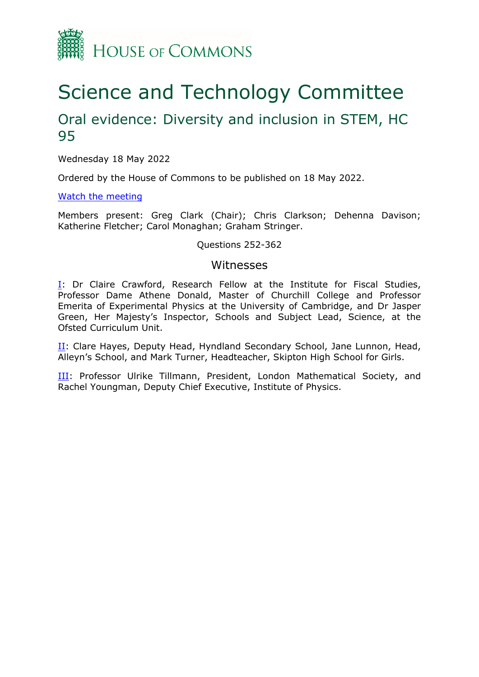

# Science and Technology Committee

# Oral evidence: Diversity and inclusion in STEM, HC 95

Wednesday 18 May 2022

Ordered by the House of Commons to be published on 18 May 2022.

#### [Watch](https://www.parliamentlive.tv/Event/Index/bca08d5a-a95b-4f3a-a94e-5267fe96179d) [the](https://www.parliamentlive.tv/Event/Index/bca08d5a-a95b-4f3a-a94e-5267fe96179d) [meeting](https://www.parliamentlive.tv/Event/Index/bca08d5a-a95b-4f3a-a94e-5267fe96179d)

Members present: Greg Clark (Chair); Chris Clarkson; Dehenna Davison; Katherine Fletcher; Carol Monaghan; Graham Stringer.

#### Questions 252-362

#### Witnesses

I: Dr Claire Crawford, Research Fellow at the Institute for Fiscal Studies, Professor Dame Athene Donald, Master of Churchill College and Professor Emerita of Experimental Physics at the University of Cambridge, and Dr Jasper Green, Her Majesty's Inspector, Schools and Subject Lead, Science, at the Ofsted Curriculum Unit.

II: Clare Hayes, Deputy Head, Hyndland Secondary School, Jane Lunnon, Head, Alleyn's School, and Mark Turner, Headteacher, Skipton High School for Girls.

III: Professor Ulrike Tillmann, President, London Mathematical Society, and Rachel Youngman, Deputy Chief Executive, Institute of Physics.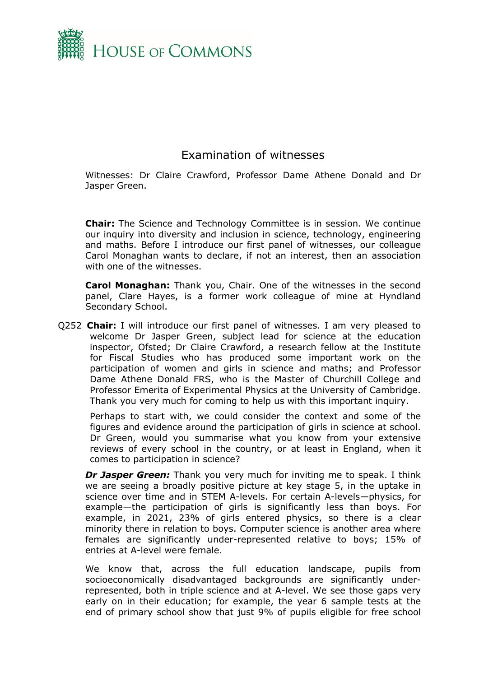

## Examination of witnesses

Witnesses: Dr Claire Crawford, Professor Dame Athene Donald and Dr Jasper Green.

**Chair:** The Science and Technology Committee is in session. We continue our inquiry into diversity and inclusion in science, technology, engineering and maths. Before I introduce our first panel of witnesses, our colleague Carol Monaghan wants to declare, if not an interest, then an association with one of the witnesses.

**Carol Monaghan:** Thank you, Chair. One of the witnesses in the second panel, Clare Hayes, is a former work colleague of mine at Hyndland Secondary School.

Q252 **Chair:** I will introduce our first panel of witnesses. I am very pleased to welcome Dr Jasper Green, subject lead for science at the education inspector, Ofsted; Dr Claire Crawford, a research fellow at the Institute for Fiscal Studies who has produced some important work on the participation of women and girls in science and maths; and Professor Dame Athene Donald FRS, who is the Master of Churchill College and Professor Emerita of Experimental Physics at the University of Cambridge. Thank you very much for coming to help us with this important inquiry.

Perhaps to start with, we could consider the context and some of the figures and evidence around the participation of girls in science at school. Dr Green, would you summarise what you know from your extensive reviews of every school in the country, or at least in England, when it comes to participation in science?

*Dr Jasper Green:* Thank you very much for inviting me to speak. I think we are seeing a broadly positive picture at key stage 5, in the uptake in science over time and in STEM A-levels. For certain A-levels—physics, for example—the participation of girls is significantly less than boys. For example, in 2021, 23% of girls entered physics, so there is a clear minority there in relation to boys. Computer science is another area where females are significantly under-represented relative to boys; 15% of entries at A-level were female.

We know that, across the full education landscape, pupils from socioeconomically disadvantaged backgrounds are significantly underrepresented, both in triple science and at A-level. We see those gaps very early on in their education; for example, the year 6 sample tests at the end of primary school show that just 9% of pupils eligible for free school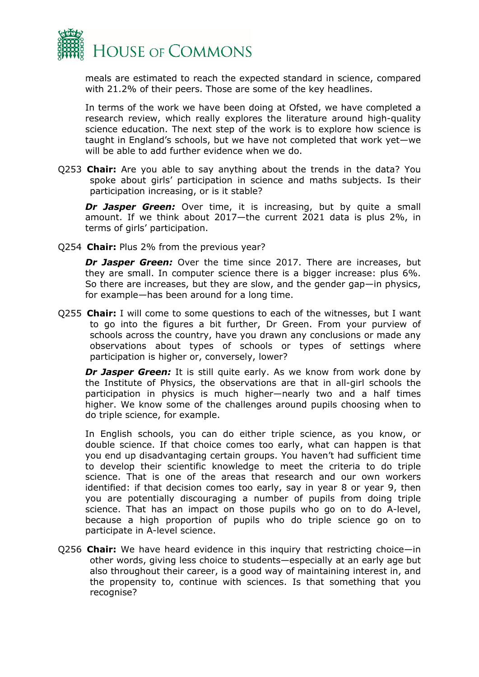

meals are estimated to reach the expected standard in science, compared with 21.2% of their peers. Those are some of the key headlines.

In terms of the work we have been doing at Ofsted, we have completed a research review, which really explores the literature around high-quality science education. The next step of the work is to explore how science is taught in England's schools, but we have not completed that work yet—we will be able to add further evidence when we do.

Q253 **Chair:** Are you able to say anything about the trends in the data? You spoke about girls' participation in science and maths subjects. Is their participation increasing, or is it stable?

**Dr Jasper Green:** Over time, it is increasing, but by quite a small amount. If we think about 2017—the current 2021 data is plus 2%, in terms of girls' participation.

Q254 **Chair:** Plus 2% from the previous year?

*Dr Jasper Green:* Over the time since 2017. There are increases, but they are small. In computer science there is a bigger increase: plus 6%. So there are increases, but they are slow, and the gender gap—in physics, for example—has been around for a long time.

Q255 **Chair:** I will come to some questions to each of the witnesses, but I want to go into the figures a bit further, Dr Green. From your purview of schools across the country, have you drawn any conclusions or made any observations about types of schools or types of settings where participation is higher or, conversely, lower?

*Dr Jasper Green:* It is still quite early. As we know from work done by the Institute of Physics, the observations are that in all-girl schools the participation in physics is much higher—nearly two and a half times higher. We know some of the challenges around pupils choosing when to do triple science, for example.

In English schools, you can do either triple science, as you know, or double science. If that choice comes too early, what can happen is that you end up disadvantaging certain groups. You haven't had sufficient time to develop their scientific knowledge to meet the criteria to do triple science. That is one of the areas that research and our own workers identified: if that decision comes too early, say in year 8 or year 9, then you are potentially discouraging a number of pupils from doing triple science. That has an impact on those pupils who go on to do A-level, because a high proportion of pupils who do triple science go on to participate in A-level science.

Q256 **Chair:** We have heard evidence in this inquiry that restricting choice—in other words, giving less choice to students—especially at an early age but also throughout their career, is a good way of maintaining interest in, and the propensity to, continue with sciences. Is that something that you recognise?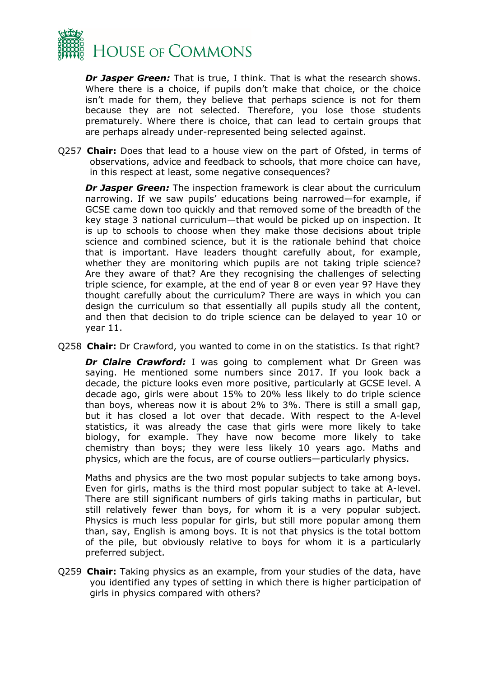

*Dr Jasper Green:* That is true, I think. That is what the research shows. Where there is a choice, if pupils don't make that choice, or the choice isn't made for them, they believe that perhaps science is not for them because they are not selected. Therefore, you lose those students prematurely. Where there is choice, that can lead to certain groups that are perhaps already under-represented being selected against.

Q257 **Chair:** Does that lead to a house view on the part of Ofsted, in terms of observations, advice and feedback to schools, that more choice can have, in this respect at least, some negative consequences?

*Dr Jasper Green:* The inspection framework is clear about the curriculum narrowing. If we saw pupils' educations being narrowed—for example, if GCSE came down too quickly and that removed some of the breadth of the key stage 3 national curriculum—that would be picked up on inspection. It is up to schools to choose when they make those decisions about triple science and combined science, but it is the rationale behind that choice that is important. Have leaders thought carefully about, for example, whether they are monitoring which pupils are not taking triple science? Are they aware of that? Are they recognising the challenges of selecting triple science, for example, at the end of year 8 or even year 9? Have they thought carefully about the curriculum? There are ways in which you can design the curriculum so that essentially all pupils study all the content, and then that decision to do triple science can be delayed to year 10 or year 11.

Q258 **Chair:** Dr Crawford, you wanted to come in on the statistics. Is that right?

**Dr Claire Crawford:** I was going to complement what Dr Green was saying. He mentioned some numbers since 2017. If you look back a decade, the picture looks even more positive, particularly at GCSE level. A decade ago, girls were about 15% to 20% less likely to do triple science than boys, whereas now it is about 2% to 3%. There is still a small gap, but it has closed a lot over that decade. With respect to the A-level statistics, it was already the case that girls were more likely to take biology, for example. They have now become more likely to take chemistry than boys; they were less likely 10 years ago. Maths and physics, which are the focus, are of course outliers—particularly physics.

Maths and physics are the two most popular subjects to take among boys. Even for girls, maths is the third most popular subject to take at A-level. There are still significant numbers of girls taking maths in particular, but still relatively fewer than boys, for whom it is a very popular subject. Physics is much less popular for girls, but still more popular among them than, say, English is among boys. It is not that physics is the total bottom of the pile, but obviously relative to boys for whom it is a particularly preferred subject.

Q259 **Chair:** Taking physics as an example, from your studies of the data, have you identified any types of setting in which there is higher participation of girls in physics compared with others?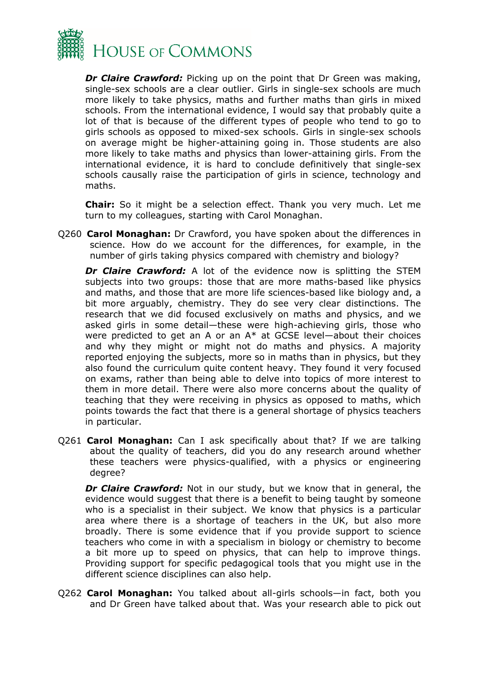

*Dr Claire Crawford:* Picking up on the point that Dr Green was making, single-sex schools are a clear outlier. Girls in single-sex schools are much more likely to take physics, maths and further maths than girls in mixed schools. From the international evidence, I would say that probably quite a lot of that is because of the different types of people who tend to go to girls schools as opposed to mixed-sex schools. Girls in single-sex schools on average might be higher-attaining going in. Those students are also more likely to take maths and physics than lower-attaining girls. From the international evidence, it is hard to conclude definitively that single-sex schools causally raise the participation of girls in science, technology and maths.

**Chair:** So it might be a selection effect. Thank you very much. Let me turn to my colleagues, starting with Carol Monaghan.

Q260 **Carol Monaghan:** Dr Crawford, you have spoken about the differences in science. How do we account for the differences, for example, in the number of girls taking physics compared with chemistry and biology?

*Dr Claire Crawford:* A lot of the evidence now is splitting the STEM subjects into two groups: those that are more maths-based like physics and maths, and those that are more life sciences-based like biology and, a bit more arguably, chemistry. They do see very clear distinctions. The research that we did focused exclusively on maths and physics, and we asked girls in some detail—these were high-achieving girls, those who were predicted to get an A or an  $A^*$  at GCSE level—about their choices and why they might or might not do maths and physics. A majority reported enjoying the subjects, more so in maths than in physics, but they also found the curriculum quite content heavy. They found it very focused on exams, rather than being able to delve into topics of more interest to them in more detail. There were also more concerns about the quality of teaching that they were receiving in physics as opposed to maths, which points towards the fact that there is a general shortage of physics teachers in particular.

Q261 **Carol Monaghan:** Can I ask specifically about that? If we are talking about the quality of teachers, did you do any research around whether these teachers were physics-qualified, with a physics or engineering degree?

*Dr Claire Crawford:* Not in our study, but we know that in general, the evidence would suggest that there is a benefit to being taught by someone who is a specialist in their subject. We know that physics is a particular area where there is a shortage of teachers in the UK, but also more broadly. There is some evidence that if you provide support to science teachers who come in with a specialism in biology or chemistry to become a bit more up to speed on physics, that can help to improve things. Providing support for specific pedagogical tools that you might use in the different science disciplines can also help.

Q262 **Carol Monaghan:** You talked about all-girls schools—in fact, both you and Dr Green have talked about that. Was your research able to pick out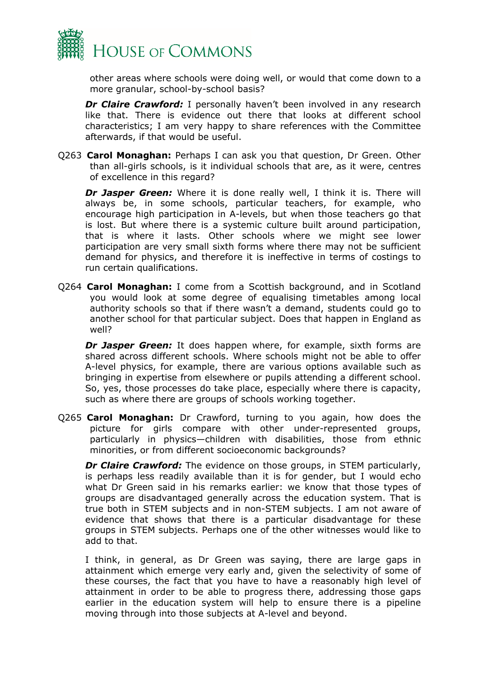

other areas where schools were doing well, or would that come down to a more granular, school-by-school basis?

*Dr Claire Crawford:* I personally haven't been involved in any research like that. There is evidence out there that looks at different school characteristics; I am very happy to share references with the Committee afterwards, if that would be useful.

Q263 **Carol Monaghan:** Perhaps I can ask you that question, Dr Green. Other than all-girls schools, is it individual schools that are, as it were, centres of excellence in this regard?

*Dr Jasper Green:* Where it is done really well, I think it is. There will always be, in some schools, particular teachers, for example, who encourage high participation in A-levels, but when those teachers go that is lost. But where there is a systemic culture built around participation, that is where it lasts. Other schools where we might see lower participation are very small sixth forms where there may not be sufficient demand for physics, and therefore it is ineffective in terms of costings to run certain qualifications.

Q264 **Carol Monaghan:** I come from a Scottish background, and in Scotland you would look at some degree of equalising timetables among local authority schools so that if there wasn't a demand, students could go to another school for that particular subject. Does that happen in England as well?

*Dr Jasper Green:* It does happen where, for example, sixth forms are shared across different schools. Where schools might not be able to offer A-level physics, for example, there are various options available such as bringing in expertise from elsewhere or pupils attending a different school. So, yes, those processes do take place, especially where there is capacity, such as where there are groups of schools working together.

Q265 **Carol Monaghan:** Dr Crawford, turning to you again, how does the picture for girls compare with other under-represented groups, particularly in physics—children with disabilities, those from ethnic minorities, or from different socioeconomic backgrounds?

*Dr Claire Crawford:* The evidence on those groups, in STEM particularly, is perhaps less readily available than it is for gender, but I would echo what Dr Green said in his remarks earlier: we know that those types of groups are disadvantaged generally across the education system. That is true both in STEM subjects and in non-STEM subjects. I am not aware of evidence that shows that there is a particular disadvantage for these groups in STEM subjects. Perhaps one of the other witnesses would like to add to that.

I think, in general, as Dr Green was saying, there are large gaps in attainment which emerge very early and, given the selectivity of some of these courses, the fact that you have to have a reasonably high level of attainment in order to be able to progress there, addressing those gaps earlier in the education system will help to ensure there is a pipeline moving through into those subjects at A-level and beyond.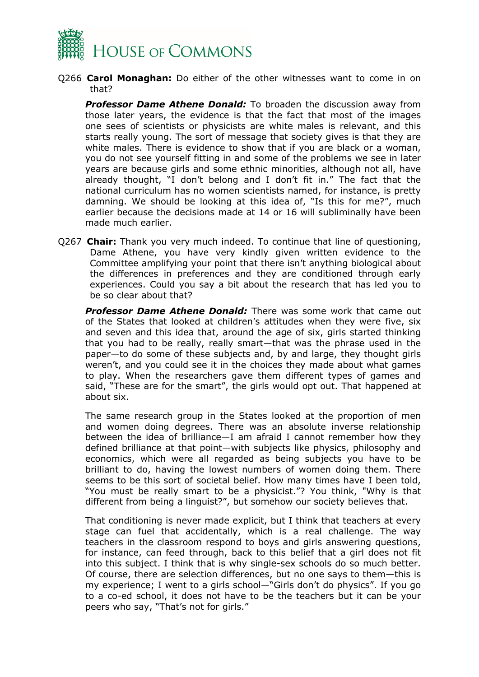

Q266 **Carol Monaghan:** Do either of the other witnesses want to come in on that?

*Professor Dame Athene Donald:* To broaden the discussion away from those later years, the evidence is that the fact that most of the images one sees of scientists or physicists are white males is relevant, and this starts really young. The sort of message that society gives is that they are white males. There is evidence to show that if you are black or a woman, you do not see yourself fitting in and some of the problems we see in later years are because girls and some ethnic minorities, although not all, have already thought, "I don't belong and I don't fit in." The fact that the national curriculum has no women scientists named, for instance, is pretty damning. We should be looking at this idea of, "Is this for me?", much earlier because the decisions made at 14 or 16 will subliminally have been made much earlier.

Q267 **Chair:** Thank you very much indeed. To continue that line of questioning, Dame Athene, you have very kindly given written evidence to the Committee amplifying your point that there isn't anything biological about the differences in preferences and they are conditioned through early experiences. Could you say a bit about the research that has led you to be so clear about that?

*Professor Dame Athene Donald:* There was some work that came out of the States that looked at children's attitudes when they were five, six and seven and this idea that, around the age of six, girls started thinking that you had to be really, really smart—that was the phrase used in the paper—to do some of these subjects and, by and large, they thought girls weren't, and you could see it in the choices they made about what games to play. When the researchers gave them different types of games and said, "These are for the smart", the girls would opt out. That happened at about six.

The same research group in the States looked at the proportion of men and women doing degrees. There was an absolute inverse relationship between the idea of brilliance—I am afraid I cannot remember how they defined brilliance at that point—with subjects like physics, philosophy and economics, which were all regarded as being subjects you have to be brilliant to do, having the lowest numbers of women doing them. There seems to be this sort of societal belief. How many times have I been told, "You must be really smart to be a physicist."? You think, "Why is that different from being a linguist?", but somehow our society believes that.

That conditioning is never made explicit, but I think that teachers at every stage can fuel that accidentally, which is a real challenge. The way teachers in the classroom respond to boys and girls answering questions, for instance, can feed through, back to this belief that a girl does not fit into this subject. I think that is why single-sex schools do so much better. Of course, there are selection differences, but no one says to them—this is my experience; I went to a girls school—"Girls don't do physics". If you go to a co-ed school, it does not have to be the teachers but it can be your peers who say, "That's not for girls."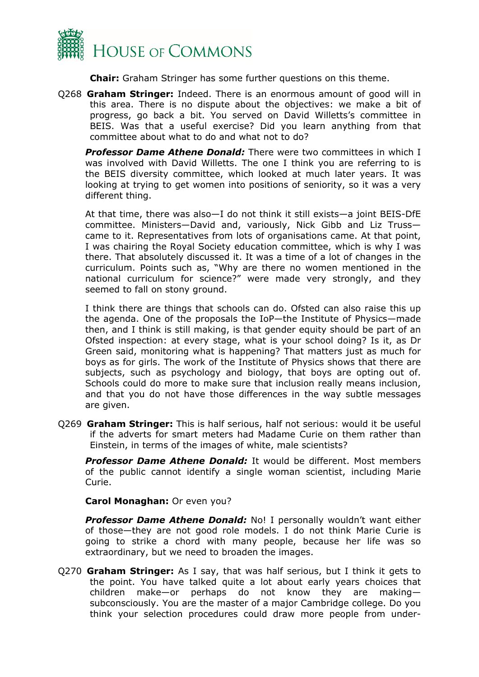

**Chair:** Graham Stringer has some further questions on this theme.

Q268 **Graham Stringer:** Indeed. There is an enormous amount of good will in this area. There is no dispute about the objectives: we make a bit of progress, go back a bit. You served on David Willetts's committee in BEIS. Was that a useful exercise? Did you learn anything from that committee about what to do and what not to do?

*Professor Dame Athene Donald:* There were two committees in which I was involved with David Willetts. The one I think you are referring to is the BEIS diversity committee, which looked at much later years. It was looking at trying to get women into positions of seniority, so it was a very different thing.

At that time, there was also—I do not think it still exists—a joint BEIS-DfE committee. Ministers—David and, variously, Nick Gibb and Liz Truss came to it. Representatives from lots of organisations came. At that point, I was chairing the Royal Society education committee, which is why I was there. That absolutely discussed it. It was a time of a lot of changes in the curriculum. Points such as, "Why are there no women mentioned in the national curriculum for science?" were made very strongly, and they seemed to fall on stony ground.

I think there are things that schools can do. Ofsted can also raise this up the agenda. One of the proposals the IoP—the Institute of Physics—made then, and I think is still making, is that gender equity should be part of an Ofsted inspection: at every stage, what is your school doing? Is it, as Dr Green said, monitoring what is happening? That matters just as much for boys as for girls. The work of the Institute of Physics shows that there are subjects, such as psychology and biology, that boys are opting out of. Schools could do more to make sure that inclusion really means inclusion, and that you do not have those differences in the way subtle messages are given.

Q269 **Graham Stringer:** This is half serious, half not serious: would it be useful if the adverts for smart meters had Madame Curie on them rather than Einstein, in terms of the images of white, male scientists?

*Professor Dame Athene Donald:* It would be different. Most members of the public cannot identify a single woman scientist, including Marie Curie.

**Carol Monaghan:** Or even you?

*Professor Dame Athene Donald:* No! I personally wouldn't want either of those—they are not good role models. I do not think Marie Curie is going to strike a chord with many people, because her life was so extraordinary, but we need to broaden the images.

Q270 **Graham Stringer:** As I say, that was half serious, but I think it gets to the point. You have talked quite a lot about early years choices that children make—or perhaps do not know they are making subconsciously. You are the master of a major Cambridge college. Do you think your selection procedures could draw more people from under-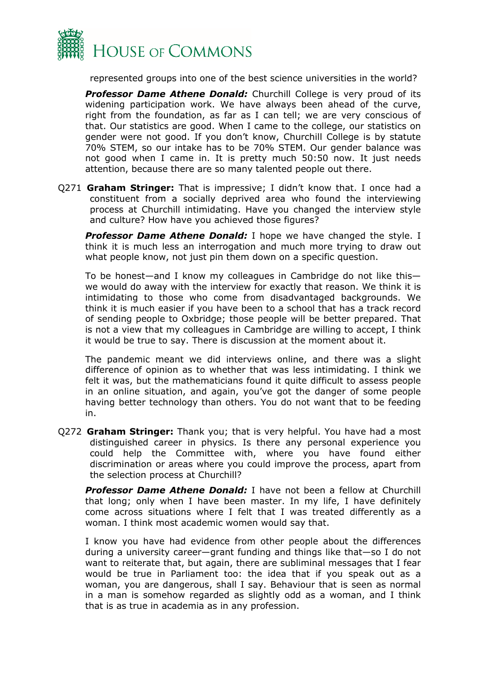

represented groups into one of the best science universities in the world?

*Professor Dame Athene Donald:* Churchill College is very proud of its widening participation work. We have always been ahead of the curve, right from the foundation, as far as I can tell; we are very conscious of that. Our statistics are good. When I came to the college, our statistics on gender were not good. If you don't know, Churchill College is by statute 70% STEM, so our intake has to be 70% STEM. Our gender balance was not good when I came in. It is pretty much 50:50 now. It just needs attention, because there are so many talented people out there.

Q271 **Graham Stringer:** That is impressive; I didn't know that. I once had a constituent from a socially deprived area who found the interviewing process at Churchill intimidating. Have you changed the interview style and culture? How have you achieved those figures?

*Professor Dame Athene Donald:* I hope we have changed the style. I think it is much less an interrogation and much more trying to draw out what people know, not just pin them down on a specific question.

To be honest—and I know my colleagues in Cambridge do not like this we would do away with the interview for exactly that reason. We think it is intimidating to those who come from disadvantaged backgrounds. We think it is much easier if you have been to a school that has a track record of sending people to Oxbridge; those people will be better prepared. That is not a view that my colleagues in Cambridge are willing to accept, I think it would be true to say. There is discussion at the moment about it.

The pandemic meant we did interviews online, and there was a slight difference of opinion as to whether that was less intimidating. I think we felt it was, but the mathematicians found it quite difficult to assess people in an online situation, and again, you've got the danger of some people having better technology than others. You do not want that to be feeding in.

Q272 **Graham Stringer:** Thank you; that is very helpful. You have had a most distinguished career in physics. Is there any personal experience you could help the Committee with, where you have found either discrimination or areas where you could improve the process, apart from the selection process at Churchill?

*Professor Dame Athene Donald:* I have not been a fellow at Churchill that long; only when I have been master. In my life, I have definitely come across situations where I felt that I was treated differently as a woman. I think most academic women would say that.

I know you have had evidence from other people about the differences during a university career—grant funding and things like that—so I do not want to reiterate that, but again, there are subliminal messages that I fear would be true in Parliament too: the idea that if you speak out as a woman, you are dangerous, shall I say. Behaviour that is seen as normal in a man is somehow regarded as slightly odd as a woman, and I think that is as true in academia as in any profession.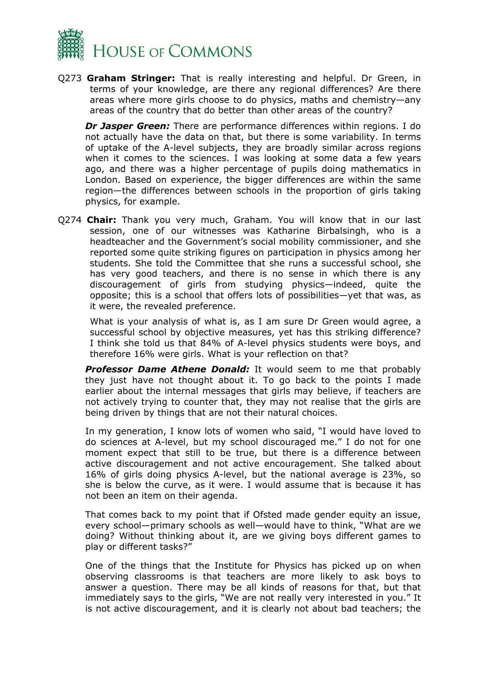

Q273 **Graham Stringer:** That is really interesting and helpful. Dr Green, in terms of your knowledge, are there any regional differences? Are there areas where more girls choose to do physics, maths and chemistry—any areas of the country that do better than other areas of the country?

*Dr Jasper Green:* There are performance differences within regions. I do not actually have the data on that, but there is some variability. In terms of uptake of the A-level subjects, they are broadly similar across regions when it comes to the sciences. I was looking at some data a few years ago, and there was a higher percentage of pupils doing mathematics in London. Based on experience, the bigger differences are within the same region—the differences between schools in the proportion of girls taking physics, for example.

Q274 **Chair:** Thank you very much, Graham. You will know that in our last session, one of our witnesses was Katharine Birbalsingh, who is a headteacher and the Government's social mobility commissioner, and she reported some quite striking figures on participation in physics among her students. She told the Committee that she runs a successful school, she has very good teachers, and there is no sense in which there is any discouragement of girls from studying physics—indeed, quite the opposite; this is a school that offers lots of possibilities—yet that was, as it were, the revealed preference.

What is your analysis of what is, as I am sure Dr Green would agree, a successful school by objective measures, yet has this striking difference? I think she told us that 84% of A-level physics students were boys, and therefore 16% were girls. What is your reflection on that?

*Professor Dame Athene Donald:* It would seem to me that probably they just have not thought about it. To go back to the points I made earlier about the internal messages that girls may believe, if teachers are not actively trying to counter that, they may not realise that the girls are being driven by things that are not their natural choices.

In my generation, I know lots of women who said, "I would have loved to do sciences at A-level, but my school discouraged me." I do not for one moment expect that still to be true, but there is a difference between active discouragement and not active encouragement. She talked about 16% of girls doing physics A-level, but the national average is 23%, so she is below the curve, as it were. I would assume that is because it has not been an item on their agenda.

That comes back to my point that if Ofsted made gender equity an issue, every school—primary schools as well—would have to think, "What are we doing? Without thinking about it, are we giving boys different games to play or different tasks?"

One of the things that the Institute for Physics has picked up on when observing classrooms is that teachers are more likely to ask boys to answer a question. There may be all kinds of reasons for that, but that immediately says to the girls, "We are not really very interested in you." It is not active discouragement, and it is clearly not about bad teachers; the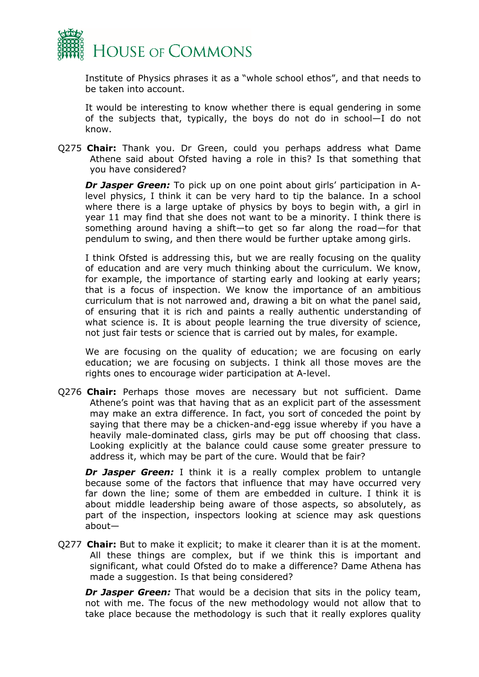

Institute of Physics phrases it as a "whole school ethos", and that needs to be taken into account.

It would be interesting to know whether there is equal gendering in some of the subjects that, typically, the boys do not do in school—I do not know.

Q275 **Chair:** Thank you. Dr Green, could you perhaps address what Dame Athene said about Ofsted having a role in this? Is that something that you have considered?

*Dr Jasper Green:* To pick up on one point about girls' participation in Alevel physics, I think it can be very hard to tip the balance. In a school where there is a large uptake of physics by boys to begin with, a girl in year 11 may find that she does not want to be a minority. I think there is something around having a shift—to get so far along the road—for that pendulum to swing, and then there would be further uptake among girls.

I think Ofsted is addressing this, but we are really focusing on the quality of education and are very much thinking about the curriculum. We know, for example, the importance of starting early and looking at early years; that is a focus of inspection. We know the importance of an ambitious curriculum that is not narrowed and, drawing a bit on what the panel said, of ensuring that it is rich and paints a really authentic understanding of what science is. It is about people learning the true diversity of science, not just fair tests or science that is carried out by males, for example.

We are focusing on the quality of education; we are focusing on early education; we are focusing on subjects. I think all those moves are the rights ones to encourage wider participation at A-level.

Q276 **Chair:** Perhaps those moves are necessary but not sufficient. Dame Athene's point was that having that as an explicit part of the assessment may make an extra difference. In fact, you sort of conceded the point by saying that there may be a chicken-and-egg issue whereby if you have a heavily male-dominated class, girls may be put off choosing that class. Looking explicitly at the balance could cause some greater pressure to address it, which may be part of the cure. Would that be fair?

*Dr Jasper Green:* I think it is a really complex problem to untangle because some of the factors that influence that may have occurred very far down the line; some of them are embedded in culture. I think it is about middle leadership being aware of those aspects, so absolutely, as part of the inspection, inspectors looking at science may ask questions about—

Q277 **Chair:** But to make it explicit; to make it clearer than it is at the moment. All these things are complex, but if we think this is important and significant, what could Ofsted do to make a difference? Dame Athena has made a suggestion. Is that being considered?

*Dr Jasper Green:* That would be a decision that sits in the policy team, not with me. The focus of the new methodology would not allow that to take place because the methodology is such that it really explores quality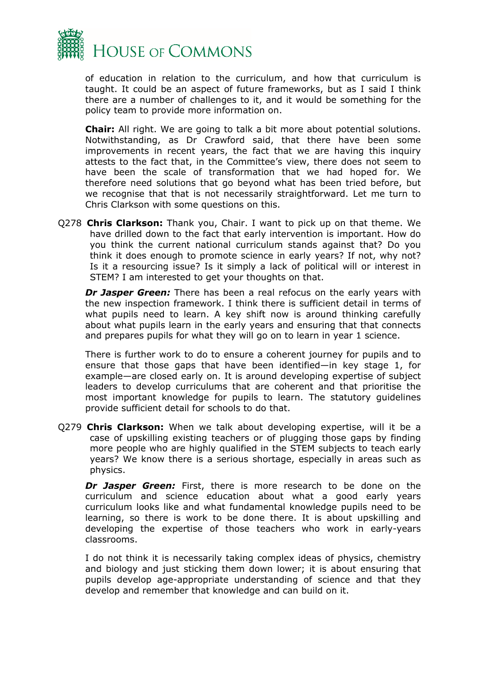

of education in relation to the curriculum, and how that curriculum is taught. It could be an aspect of future frameworks, but as I said I think there are a number of challenges to it, and it would be something for the policy team to provide more information on.

**Chair:** All right. We are going to talk a bit more about potential solutions. Notwithstanding, as Dr Crawford said, that there have been some improvements in recent years, the fact that we are having this inquiry attests to the fact that, in the Committee's view, there does not seem to have been the scale of transformation that we had hoped for. We therefore need solutions that go beyond what has been tried before, but we recognise that that is not necessarily straightforward. Let me turn to Chris Clarkson with some questions on this.

Q278 **Chris Clarkson:** Thank you, Chair. I want to pick up on that theme. We have drilled down to the fact that early intervention is important. How do you think the current national curriculum stands against that? Do you think it does enough to promote science in early years? If not, why not? Is it a resourcing issue? Is it simply a lack of political will or interest in STEM? I am interested to get your thoughts on that.

*Dr Jasper Green:* There has been a real refocus on the early years with the new inspection framework. I think there is sufficient detail in terms of what pupils need to learn. A key shift now is around thinking carefully about what pupils learn in the early years and ensuring that that connects and prepares pupils for what they will go on to learn in year 1 science.

There is further work to do to ensure a coherent journey for pupils and to ensure that those gaps that have been identified—in key stage 1, for example—are closed early on. It is around developing expertise of subject leaders to develop curriculums that are coherent and that prioritise the most important knowledge for pupils to learn. The statutory guidelines provide sufficient detail for schools to do that.

Q279 **Chris Clarkson:** When we talk about developing expertise, will it be a case of upskilling existing teachers or of plugging those gaps by finding more people who are highly qualified in the STEM subjects to teach early years? We know there is a serious shortage, especially in areas such as physics.

*Dr Jasper Green:* First, there is more research to be done on the curriculum and science education about what a good early years curriculum looks like and what fundamental knowledge pupils need to be learning, so there is work to be done there. It is about upskilling and developing the expertise of those teachers who work in early-years classrooms.

I do not think it is necessarily taking complex ideas of physics, chemistry and biology and just sticking them down lower; it is about ensuring that pupils develop age-appropriate understanding of science and that they develop and remember that knowledge and can build on it.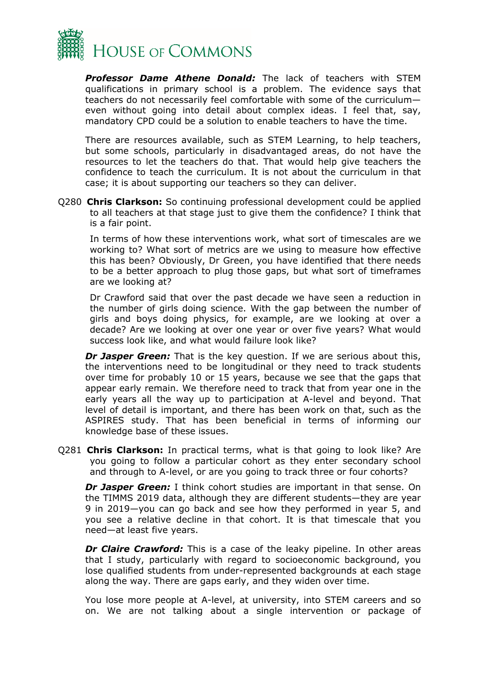

*Professor Dame Athene Donald:* The lack of teachers with STEM qualifications in primary school is a problem. The evidence says that teachers do not necessarily feel comfortable with some of the curriculum even without going into detail about complex ideas. I feel that, say, mandatory CPD could be a solution to enable teachers to have the time.

There are resources available, such as STEM Learning, to help teachers, but some schools, particularly in disadvantaged areas, do not have the resources to let the teachers do that. That would help give teachers the confidence to teach the curriculum. It is not about the curriculum in that case; it is about supporting our teachers so they can deliver.

Q280 **Chris Clarkson:** So continuing professional development could be applied to all teachers at that stage just to give them the confidence? I think that is a fair point.

In terms of how these interventions work, what sort of timescales are we working to? What sort of metrics are we using to measure how effective this has been? Obviously, Dr Green, you have identified that there needs to be a better approach to plug those gaps, but what sort of timeframes are we looking at?

Dr Crawford said that over the past decade we have seen a reduction in the number of girls doing science. With the gap between the number of girls and boys doing physics, for example, are we looking at over a decade? Are we looking at over one year or over five years? What would success look like, and what would failure look like?

*Dr Jasper Green:* That is the key question. If we are serious about this, the interventions need to be longitudinal or they need to track students over time for probably 10 or 15 years, because we see that the gaps that appear early remain. We therefore need to track that from year one in the early years all the way up to participation at A-level and beyond. That level of detail is important, and there has been work on that, such as the ASPIRES study. That has been beneficial in terms of informing our knowledge base of these issues.

Q281 **Chris Clarkson:** In practical terms, what is that going to look like? Are you going to follow a particular cohort as they enter secondary school and through to A-level, or are you going to track three or four cohorts?

*Dr Jasper Green:* I think cohort studies are important in that sense. On the TIMMS 2019 data, although they are different students—they are year 9 in 2019—you can go back and see how they performed in year 5, and you see a relative decline in that cohort. It is that timescale that you need—at least five years.

*Dr Claire Crawford:* This is a case of the leaky pipeline. In other areas that I study, particularly with regard to socioeconomic background, you lose qualified students from under-represented backgrounds at each stage along the way. There are gaps early, and they widen over time.

You lose more people at A-level, at university, into STEM careers and so on. We are not talking about a single intervention or package of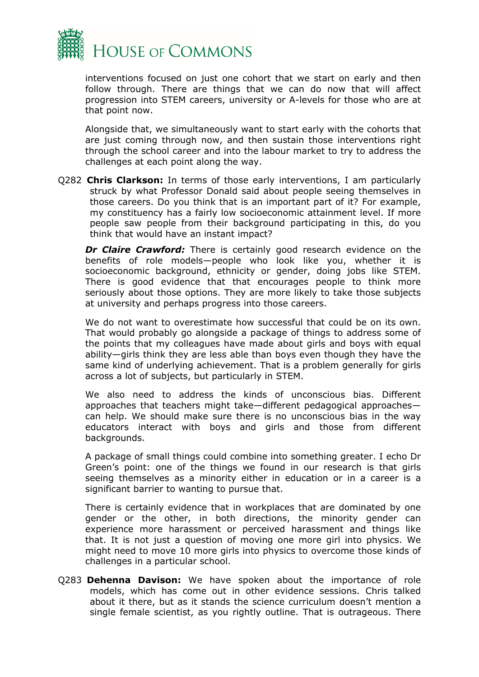

interventions focused on just one cohort that we start on early and then follow through. There are things that we can do now that will affect progression into STEM careers, university or A-levels for those who are at that point now.

Alongside that, we simultaneously want to start early with the cohorts that are just coming through now, and then sustain those interventions right through the school career and into the labour market to try to address the challenges at each point along the way.

Q282 **Chris Clarkson:** In terms of those early interventions, I am particularly struck by what Professor Donald said about people seeing themselves in those careers. Do you think that is an important part of it? For example, my constituency has a fairly low socioeconomic attainment level. If more people saw people from their background participating in this, do you think that would have an instant impact?

**Dr Claire Crawford:** There is certainly good research evidence on the benefits of role models—people who look like you, whether it is socioeconomic background, ethnicity or gender, doing jobs like STEM. There is good evidence that that encourages people to think more seriously about those options. They are more likely to take those subjects at university and perhaps progress into those careers.

We do not want to overestimate how successful that could be on its own. That would probably go alongside a package of things to address some of the points that my colleagues have made about girls and boys with equal ability—girls think they are less able than boys even though they have the same kind of underlying achievement. That is a problem generally for girls across a lot of subjects, but particularly in STEM.

We also need to address the kinds of unconscious bias. Different approaches that teachers might take—different pedagogical approaches can help. We should make sure there is no unconscious bias in the way educators interact with boys and girls and those from different backgrounds.

A package of small things could combine into something greater. I echo Dr Green's point: one of the things we found in our research is that girls seeing themselves as a minority either in education or in a career is a significant barrier to wanting to pursue that.

There is certainly evidence that in workplaces that are dominated by one gender or the other, in both directions, the minority gender can experience more harassment or perceived harassment and things like that. It is not just a question of moving one more girl into physics. We might need to move 10 more girls into physics to overcome those kinds of challenges in a particular school.

Q283 **Dehenna Davison:** We have spoken about the importance of role models, which has come out in other evidence sessions. Chris talked about it there, but as it stands the science curriculum doesn't mention a single female scientist, as you rightly outline. That is outrageous. There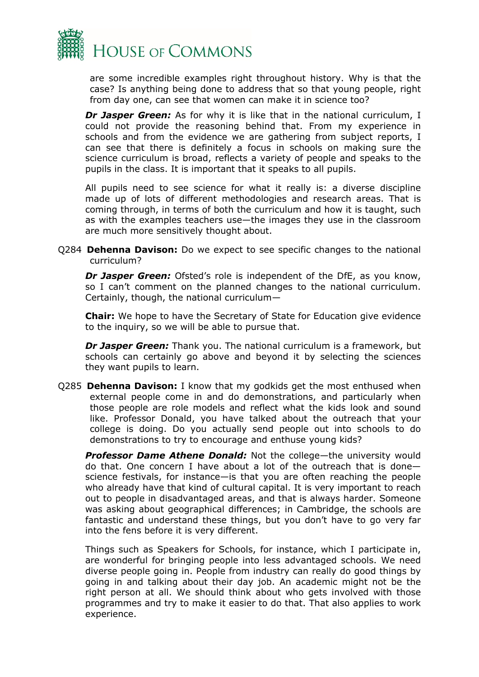

are some incredible examples right throughout history. Why is that the case? Is anything being done to address that so that young people, right from day one, can see that women can make it in science too?

*Dr Jasper Green:* As for why it is like that in the national curriculum, I could not provide the reasoning behind that. From my experience in schools and from the evidence we are gathering from subject reports, I can see that there is definitely a focus in schools on making sure the science curriculum is broad, reflects a variety of people and speaks to the pupils in the class. It is important that it speaks to all pupils.

All pupils need to see science for what it really is: a diverse discipline made up of lots of different methodologies and research areas. That is coming through, in terms of both the curriculum and how it is taught, such as with the examples teachers use—the images they use in the classroom are much more sensitively thought about.

Q284 **Dehenna Davison:** Do we expect to see specific changes to the national curriculum?

*Dr Jasper Green:* Ofsted's role is independent of the DfE, as you know, so I can't comment on the planned changes to the national curriculum. Certainly, though, the national curriculum—

**Chair:** We hope to have the Secretary of State for Education give evidence to the inquiry, so we will be able to pursue that.

*Dr Jasper Green:* Thank you. The national curriculum is a framework, but schools can certainly go above and beyond it by selecting the sciences they want pupils to learn.

Q285 **Dehenna Davison:** I know that my godkids get the most enthused when external people come in and do demonstrations, and particularly when those people are role models and reflect what the kids look and sound like. Professor Donald, you have talked about the outreach that your college is doing. Do you actually send people out into schools to do demonstrations to try to encourage and enthuse young kids?

*Professor Dame Athene Donald:* Not the college—the university would do that. One concern I have about a lot of the outreach that is done science festivals, for instance—is that you are often reaching the people who already have that kind of cultural capital. It is very important to reach out to people in disadvantaged areas, and that is always harder. Someone was asking about geographical differences; in Cambridge, the schools are fantastic and understand these things, but you don't have to go very far into the fens before it is very different.

Things such as Speakers for Schools, for instance, which I participate in, are wonderful for bringing people into less advantaged schools. We need diverse people going in. People from industry can really do good things by going in and talking about their day job. An academic might not be the right person at all. We should think about who gets involved with those programmes and try to make it easier to do that. That also applies to work experience.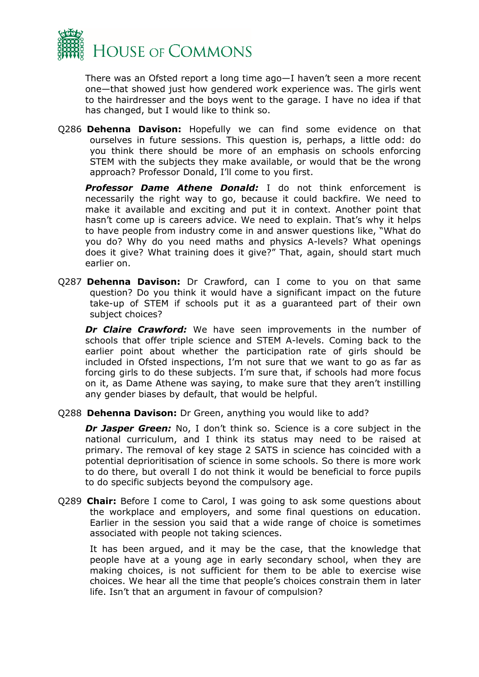

There was an Ofsted report a long time ago—I haven't seen a more recent one—that showed just how gendered work experience was. The girls went to the hairdresser and the boys went to the garage. I have no idea if that has changed, but I would like to think so.

Q286 **Dehenna Davison:** Hopefully we can find some evidence on that ourselves in future sessions. This question is, perhaps, a little odd: do you think there should be more of an emphasis on schools enforcing STEM with the subjects they make available, or would that be the wrong approach? Professor Donald, I'll come to you first.

*Professor Dame Athene Donald:* I do not think enforcement is necessarily the right way to go, because it could backfire. We need to make it available and exciting and put it in context. Another point that hasn't come up is careers advice. We need to explain. That's why it helps to have people from industry come in and answer questions like, "What do you do? Why do you need maths and physics A-levels? What openings does it give? What training does it give?" That, again, should start much earlier on.

Q287 **Dehenna Davison:** Dr Crawford, can I come to you on that same question? Do you think it would have a significant impact on the future take-up of STEM if schools put it as a guaranteed part of their own subject choices?

*Dr Claire Crawford:* We have seen improvements in the number of schools that offer triple science and STEM A-levels. Coming back to the earlier point about whether the participation rate of girls should be included in Ofsted inspections, I'm not sure that we want to go as far as forcing girls to do these subjects. I'm sure that, if schools had more focus on it, as Dame Athene was saying, to make sure that they aren't instilling any gender biases by default, that would be helpful.

Q288 **Dehenna Davison:** Dr Green, anything you would like to add?

*Dr Jasper Green:* No, I don't think so. Science is a core subject in the national curriculum, and I think its status may need to be raised at primary. The removal of key stage 2 SATS in science has coincided with a potential deprioritisation of science in some schools. So there is more work to do there, but overall I do not think it would be beneficial to force pupils to do specific subjects beyond the compulsory age.

Q289 **Chair:** Before I come to Carol, I was going to ask some questions about the workplace and employers, and some final questions on education. Earlier in the session you said that a wide range of choice is sometimes associated with people not taking sciences.

It has been argued, and it may be the case, that the knowledge that people have at a young age in early secondary school, when they are making choices, is not sufficient for them to be able to exercise wise choices. We hear all the time that people's choices constrain them in later life. Isn't that an argument in favour of compulsion?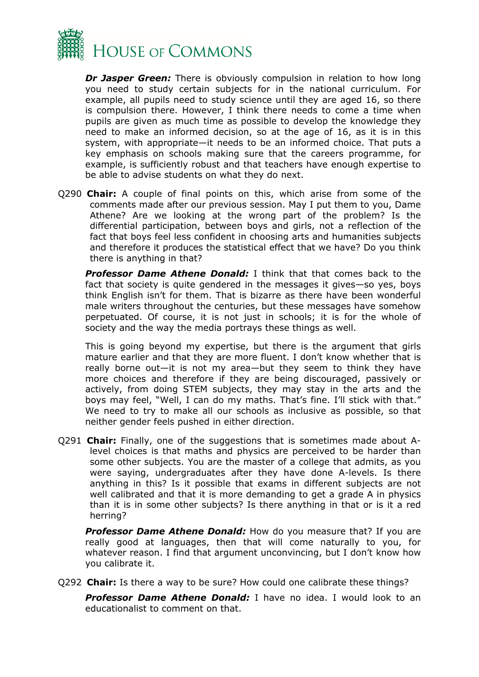

*Dr Jasper Green:* There is obviously compulsion in relation to how long you need to study certain subjects for in the national curriculum. For example, all pupils need to study science until they are aged 16, so there is compulsion there. However, I think there needs to come a time when pupils are given as much time as possible to develop the knowledge they need to make an informed decision, so at the age of 16, as it is in this system, with appropriate—it needs to be an informed choice. That puts a key emphasis on schools making sure that the careers programme, for example, is sufficiently robust and that teachers have enough expertise to be able to advise students on what they do next.

Q290 **Chair:** A couple of final points on this, which arise from some of the comments made after our previous session. May I put them to you, Dame Athene? Are we looking at the wrong part of the problem? Is the differential participation, between boys and girls, not a reflection of the fact that boys feel less confident in choosing arts and humanities subjects and therefore it produces the statistical effect that we have? Do you think there is anything in that?

*Professor Dame Athene Donald:* I think that that comes back to the fact that society is quite gendered in the messages it gives—so yes, boys think English isn't for them. That is bizarre as there have been wonderful male writers throughout the centuries, but these messages have somehow perpetuated. Of course, it is not just in schools; it is for the whole of society and the way the media portrays these things as well.

This is going beyond my expertise, but there is the argument that girls mature earlier and that they are more fluent. I don't know whether that is really borne out—it is not my area—but they seem to think they have more choices and therefore if they are being discouraged, passively or actively, from doing STEM subjects, they may stay in the arts and the boys may feel, "Well, I can do my maths. That's fine. I'll stick with that." We need to try to make all our schools as inclusive as possible, so that neither gender feels pushed in either direction.

Q291 **Chair:** Finally, one of the suggestions that is sometimes made about Alevel choices is that maths and physics are perceived to be harder than some other subjects. You are the master of a college that admits, as you were saying, undergraduates after they have done A-levels. Is there anything in this? Is it possible that exams in different subjects are not well calibrated and that it is more demanding to get a grade A in physics than it is in some other subjects? Is there anything in that or is it a red herring?

*Professor Dame Athene Donald:* How do you measure that? If you are really good at languages, then that will come naturally to you, for whatever reason. I find that argument unconvincing, but I don't know how you calibrate it.

Q292 **Chair:** Is there a way to be sure? How could one calibrate these things?

*Professor Dame Athene Donald:* I have no idea. I would look to an educationalist to comment on that.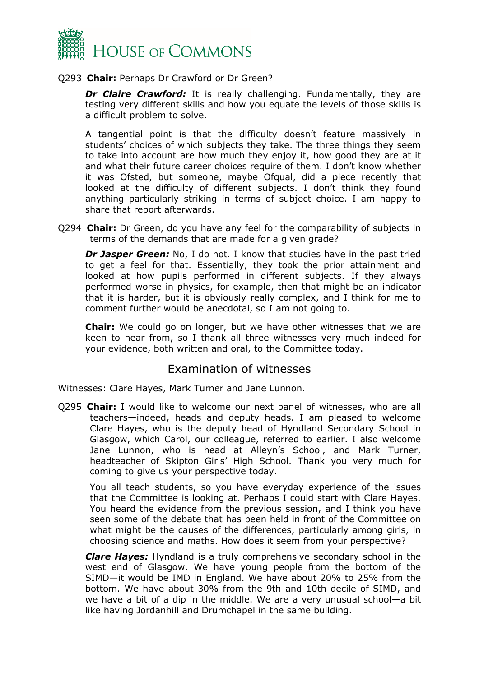

#### Q293 **Chair:** Perhaps Dr Crawford or Dr Green?

*Dr Claire Crawford:* It is really challenging. Fundamentally, they are testing very different skills and how you equate the levels of those skills is a difficult problem to solve.

A tangential point is that the difficulty doesn't feature massively in students' choices of which subjects they take. The three things they seem to take into account are how much they enjoy it, how good they are at it and what their future career choices require of them. I don't know whether it was Ofsted, but someone, maybe Ofqual, did a piece recently that looked at the difficulty of different subjects. I don't think they found anything particularly striking in terms of subject choice. I am happy to share that report afterwards.

Q294 **Chair:** Dr Green, do you have any feel for the comparability of subjects in terms of the demands that are made for a given grade?

*Dr Jasper Green:* No, I do not. I know that studies have in the past tried to get a feel for that. Essentially, they took the prior attainment and looked at how pupils performed in different subjects. If they always performed worse in physics, for example, then that might be an indicator that it is harder, but it is obviously really complex, and I think for me to comment further would be anecdotal, so I am not going to.

**Chair:** We could go on longer, but we have other witnesses that we are keen to hear from, so I thank all three witnesses very much indeed for your evidence, both written and oral, to the Committee today.

#### Examination of witnesses

Witnesses: Clare Hayes, Mark Turner and Jane Lunnon.

Q295 **Chair:** I would like to welcome our next panel of witnesses, who are all teachers—indeed, heads and deputy heads. I am pleased to welcome Clare Hayes, who is the deputy head of Hyndland Secondary School in Glasgow, which Carol, our colleague, referred to earlier. I also welcome Jane Lunnon, who is head at Alleyn's School, and Mark Turner, headteacher of Skipton Girls' High School. Thank you very much for coming to give us your perspective today.

You all teach students, so you have everyday experience of the issues that the Committee is looking at. Perhaps I could start with Clare Hayes. You heard the evidence from the previous session, and I think you have seen some of the debate that has been held in front of the Committee on what might be the causes of the differences, particularly among girls, in choosing science and maths. How does it seem from your perspective?

*Clare Hayes:* Hyndland is a truly comprehensive secondary school in the west end of Glasgow. We have young people from the bottom of the SIMD—it would be IMD in England. We have about 20% to 25% from the bottom. We have about 30% from the 9th and 10th decile of SIMD, and we have a bit of a dip in the middle. We are a very unusual school—a bit like having Jordanhill and Drumchapel in the same building.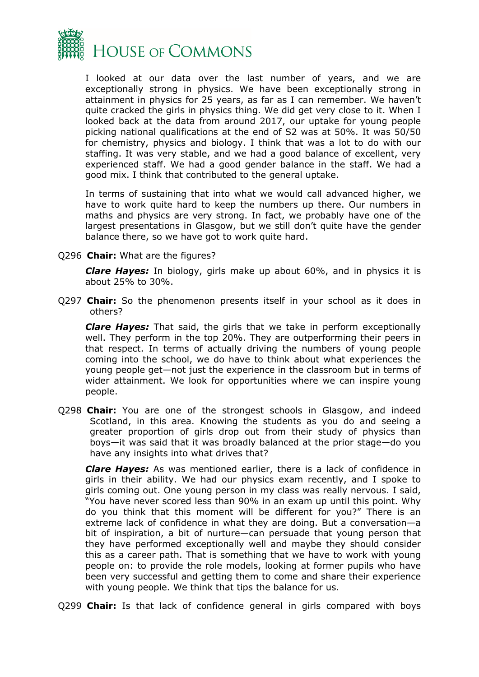

I looked at our data over the last number of years, and we are exceptionally strong in physics. We have been exceptionally strong in attainment in physics for 25 years, as far as I can remember. We haven't quite cracked the girls in physics thing. We did get very close to it. When I looked back at the data from around 2017, our uptake for young people picking national qualifications at the end of S2 was at 50%. It was 50/50 for chemistry, physics and biology. I think that was a lot to do with our staffing. It was very stable, and we had a good balance of excellent, very experienced staff. We had a good gender balance in the staff. We had a good mix. I think that contributed to the general uptake.

In terms of sustaining that into what we would call advanced higher, we have to work quite hard to keep the numbers up there. Our numbers in maths and physics are very strong. In fact, we probably have one of the largest presentations in Glasgow, but we still don't quite have the gender balance there, so we have got to work quite hard.

Q296 **Chair:** What are the figures?

*Clare Hayes:* In biology, girls make up about 60%, and in physics it is about 25% to 30%.

Q297 **Chair:** So the phenomenon presents itself in your school as it does in others?

*Clare Hayes:* That said, the girls that we take in perform exceptionally well. They perform in the top 20%. They are outperforming their peers in that respect. In terms of actually driving the numbers of young people coming into the school, we do have to think about what experiences the young people get—not just the experience in the classroom but in terms of wider attainment. We look for opportunities where we can inspire young people.

Q298 **Chair:** You are one of the strongest schools in Glasgow, and indeed Scotland, in this area. Knowing the students as you do and seeing a greater proportion of girls drop out from their study of physics than boys—it was said that it was broadly balanced at the prior stage—do you have any insights into what drives that?

*Clare Hayes:* As was mentioned earlier, there is a lack of confidence in girls in their ability. We had our physics exam recently, and I spoke to girls coming out. One young person in my class was really nervous. I said, "You have never scored less than 90% in an exam up until this point. Why do you think that this moment will be different for you?" There is an extreme lack of confidence in what they are doing. But a conversation—a bit of inspiration, a bit of nurture—can persuade that young person that they have performed exceptionally well and maybe they should consider this as a career path. That is something that we have to work with young people on: to provide the role models, looking at former pupils who have been very successful and getting them to come and share their experience with young people. We think that tips the balance for us.

Q299 **Chair:** Is that lack of confidence general in girls compared with boys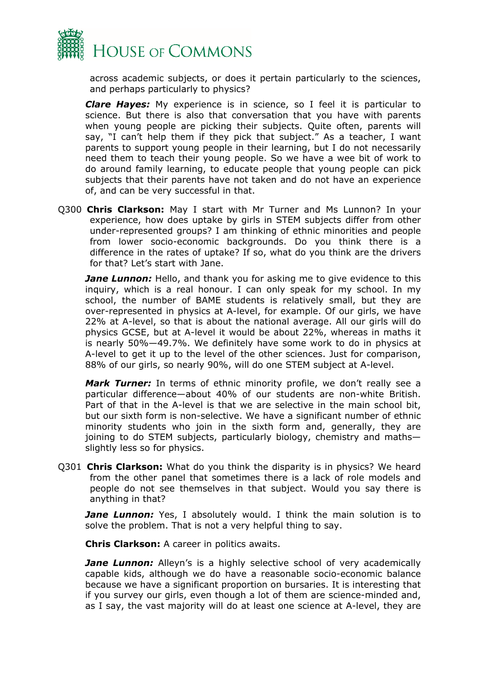

across academic subjects, or does it pertain particularly to the sciences, and perhaps particularly to physics?

*Clare Hayes:* My experience is in science, so I feel it is particular to science. But there is also that conversation that you have with parents when young people are picking their subjects. Quite often, parents will say, "I can't help them if they pick that subject." As a teacher, I want parents to support young people in their learning, but I do not necessarily need them to teach their young people. So we have a wee bit of work to do around family learning, to educate people that young people can pick subjects that their parents have not taken and do not have an experience of, and can be very successful in that.

Q300 **Chris Clarkson:** May I start with Mr Turner and Ms Lunnon? In your experience, how does uptake by girls in STEM subjects differ from other under-represented groups? I am thinking of ethnic minorities and people from lower socio-economic backgrounds. Do you think there is a difference in the rates of uptake? If so, what do you think are the drivers for that? Let's start with Jane.

*Jane Lunnon:* Hello, and thank you for asking me to give evidence to this inquiry, which is a real honour. I can only speak for my school. In my school, the number of BAME students is relatively small, but they are over-represented in physics at A-level, for example. Of our girls, we have 22% at A-level, so that is about the national average. All our girls will do physics GCSE, but at A-level it would be about 22%, whereas in maths it is nearly 50%—49.7%. We definitely have some work to do in physics at A-level to get it up to the level of the other sciences. Just for comparison, 88% of our girls, so nearly 90%, will do one STEM subject at A-level.

*Mark Turner:* In terms of ethnic minority profile, we don't really see a particular difference—about 40% of our students are non-white British. Part of that in the A-level is that we are selective in the main school bit, but our sixth form is non-selective. We have a significant number of ethnic minority students who join in the sixth form and, generally, they are joining to do STEM subjects, particularly biology, chemistry and maths slightly less so for physics.

Q301 **Chris Clarkson:** What do you think the disparity is in physics? We heard from the other panel that sometimes there is a lack of role models and people do not see themselves in that subject. Would you say there is anything in that?

**Jane Lunnon:** Yes, I absolutely would. I think the main solution is to solve the problem. That is not a very helpful thing to say.

**Chris Clarkson:** A career in politics awaits.

*Jane Lunnon:* Alleyn's is a highly selective school of very academically capable kids, although we do have a reasonable socio-economic balance because we have a significant proportion on bursaries. It is interesting that if you survey our girls, even though a lot of them are science-minded and, as I say, the vast majority will do at least one science at A-level, they are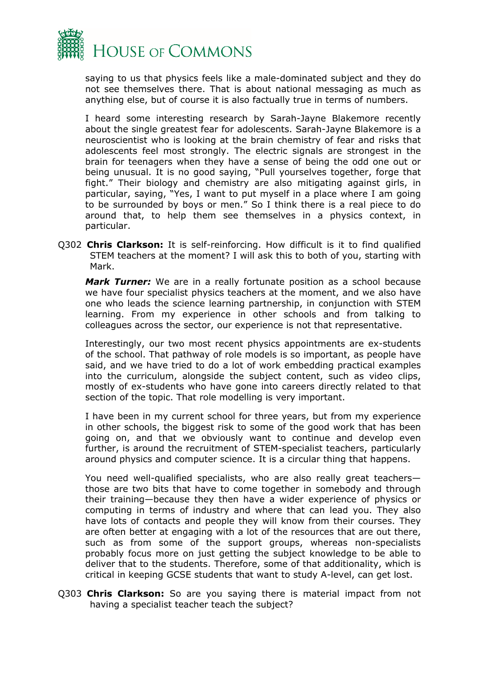

saying to us that physics feels like a male-dominated subject and they do not see themselves there. That is about national messaging as much as anything else, but of course it is also factually true in terms of numbers.

I heard some interesting research by Sarah-Jayne Blakemore recently about the single greatest fear for adolescents. Sarah-Jayne Blakemore is a neuroscientist who is looking at the brain chemistry of fear and risks that adolescents feel most strongly. The electric signals are strongest in the brain for teenagers when they have a sense of being the odd one out or being unusual. It is no good saying, "Pull yourselves together, forge that fight." Their biology and chemistry are also mitigating against girls, in particular, saying, "Yes, I want to put myself in a place where I am going to be surrounded by boys or men." So I think there is a real piece to do around that, to help them see themselves in a physics context, in particular.

Q302 **Chris Clarkson:** It is self-reinforcing. How difficult is it to find qualified STEM teachers at the moment? I will ask this to both of you, starting with Mark.

*Mark Turner:* We are in a really fortunate position as a school because we have four specialist physics teachers at the moment, and we also have one who leads the science learning partnership, in conjunction with STEM learning. From my experience in other schools and from talking to colleagues across the sector, our experience is not that representative.

Interestingly, our two most recent physics appointments are ex-students of the school. That pathway of role models is so important, as people have said, and we have tried to do a lot of work embedding practical examples into the curriculum, alongside the subject content, such as video clips, mostly of ex-students who have gone into careers directly related to that section of the topic. That role modelling is very important.

I have been in my current school for three years, but from my experience in other schools, the biggest risk to some of the good work that has been going on, and that we obviously want to continue and develop even further, is around the recruitment of STEM-specialist teachers, particularly around physics and computer science. It is a circular thing that happens.

You need well-qualified specialists, who are also really great teachers those are two bits that have to come together in somebody and through their training—because they then have a wider experience of physics or computing in terms of industry and where that can lead you. They also have lots of contacts and people they will know from their courses. They are often better at engaging with a lot of the resources that are out there, such as from some of the support groups, whereas non-specialists probably focus more on just getting the subject knowledge to be able to deliver that to the students. Therefore, some of that additionality, which is critical in keeping GCSE students that want to study A-level, can get lost.

Q303 **Chris Clarkson:** So are you saying there is material impact from not having a specialist teacher teach the subject?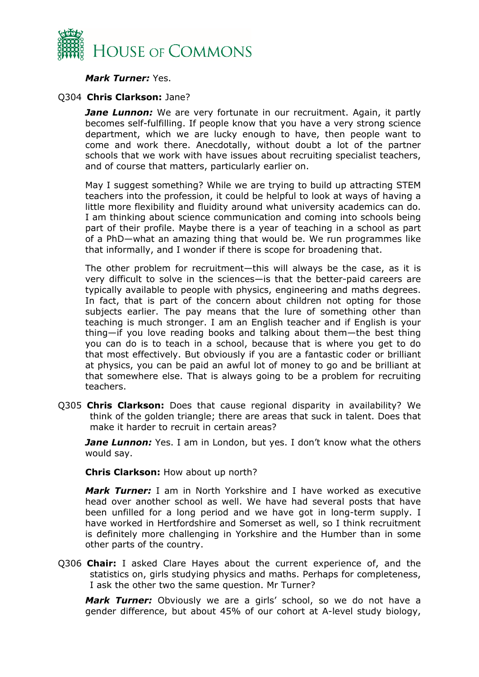

#### *Mark Turner:* Yes.

#### Q304 **Chris Clarkson:** Jane?

*Jane Lunnon:* We are very fortunate in our recruitment. Again, it partly becomes self-fulfilling. If people know that you have a very strong science department, which we are lucky enough to have, then people want to come and work there. Anecdotally, without doubt a lot of the partner schools that we work with have issues about recruiting specialist teachers, and of course that matters, particularly earlier on.

May I suggest something? While we are trying to build up attracting STEM teachers into the profession, it could be helpful to look at ways of having a little more flexibility and fluidity around what university academics can do. I am thinking about science communication and coming into schools being part of their profile. Maybe there is a year of teaching in a school as part of a PhD—what an amazing thing that would be. We run programmes like that informally, and I wonder if there is scope for broadening that.

The other problem for recruitment—this will always be the case, as it is very difficult to solve in the sciences—is that the better-paid careers are typically available to people with physics, engineering and maths degrees. In fact, that is part of the concern about children not opting for those subjects earlier. The pay means that the lure of something other than teaching is much stronger. I am an English teacher and if English is your thing—if you love reading books and talking about them—the best thing you can do is to teach in a school, because that is where you get to do that most effectively. But obviously if you are a fantastic coder or brilliant at physics, you can be paid an awful lot of money to go and be brilliant at that somewhere else. That is always going to be a problem for recruiting teachers.

Q305 **Chris Clarkson:** Does that cause regional disparity in availability? We think of the golden triangle; there are areas that suck in talent. Does that make it harder to recruit in certain areas?

*Jane Lunnon:* Yes. I am in London, but yes. I don't know what the others would say.

#### **Chris Clarkson:** How about up north?

*Mark Turner:* I am in North Yorkshire and I have worked as executive head over another school as well. We have had several posts that have been unfilled for a long period and we have got in long-term supply. I have worked in Hertfordshire and Somerset as well, so I think recruitment is definitely more challenging in Yorkshire and the Humber than in some other parts of the country.

Q306 **Chair:** I asked Clare Hayes about the current experience of, and the statistics on, girls studying physics and maths. Perhaps for completeness, I ask the other two the same question. Mr Turner?

*Mark Turner:* Obviously we are a girls' school, so we do not have a gender difference, but about 45% of our cohort at A-level study biology,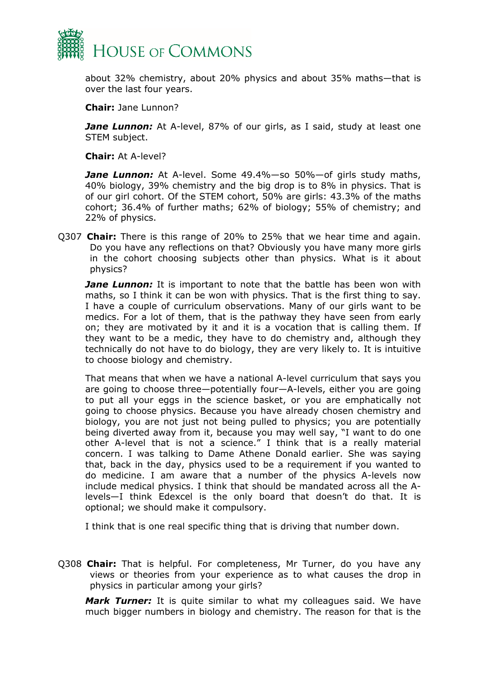

about 32% chemistry, about 20% physics and about 35% maths—that is over the last four years.

**Chair:** Jane Lunnon?

**Jane Lunnon:** At A-level, 87% of our girls, as I said, study at least one STEM subject.

**Chair:** At A-level?

*Jane Lunnon:* At A-level. Some 49.4%—so 50%—of girls study maths, 40% biology, 39% chemistry and the big drop is to 8% in physics. That is of our girl cohort. Of the STEM cohort, 50% are girls: 43.3% of the maths cohort; 36.4% of further maths; 62% of biology; 55% of chemistry; and 22% of physics.

Q307 **Chair:** There is this range of 20% to 25% that we hear time and again. Do you have any reflections on that? Obviously you have many more girls in the cohort choosing subjects other than physics. What is it about physics?

*Jane Lunnon:* It is important to note that the battle has been won with maths, so I think it can be won with physics. That is the first thing to say. I have a couple of curriculum observations. Many of our girls want to be medics. For a lot of them, that is the pathway they have seen from early on; they are motivated by it and it is a vocation that is calling them. If they want to be a medic, they have to do chemistry and, although they technically do not have to do biology, they are very likely to. It is intuitive to choose biology and chemistry.

That means that when we have a national A-level curriculum that says you are going to choose three—potentially four—A-levels, either you are going to put all your eggs in the science basket, or you are emphatically not going to choose physics. Because you have already chosen chemistry and biology, you are not just not being pulled to physics; you are potentially being diverted away from it, because you may well say, "I want to do one other A-level that is not a science." I think that is a really material concern. I was talking to Dame Athene Donald earlier. She was saying that, back in the day, physics used to be a requirement if you wanted to do medicine. I am aware that a number of the physics A-levels now include medical physics. I think that should be mandated across all the Alevels—I think Edexcel is the only board that doesn't do that. It is optional; we should make it compulsory.

I think that is one real specific thing that is driving that number down.

Q308 **Chair:** That is helpful. For completeness, Mr Turner, do you have any views or theories from your experience as to what causes the drop in physics in particular among your girls?

*Mark Turner:* It is quite similar to what my colleagues said. We have much bigger numbers in biology and chemistry. The reason for that is the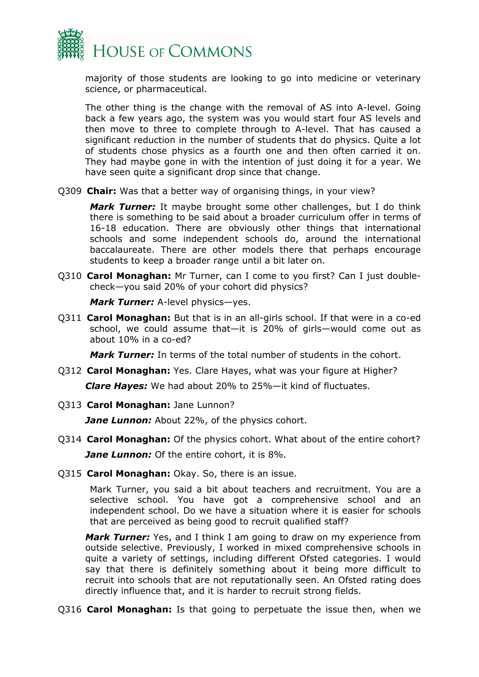

majority of those students are looking to go into medicine or veterinary science, or pharmaceutical.

The other thing is the change with the removal of AS into A-level. Going back a few years ago, the system was you would start four AS levels and then move to three to complete through to A-level. That has caused a significant reduction in the number of students that do physics. Quite a lot of students chose physics as a fourth one and then often carried it on. They had maybe gone in with the intention of just doing it for a year. We have seen quite a significant drop since that change.

Q309 **Chair:** Was that a better way of organising things, in your view?

*Mark Turner:* It maybe brought some other challenges, but I do think there is something to be said about a broader curriculum offer in terms of 16-18 education. There are obviously other things that international schools and some independent schools do, around the international baccalaureate. There are other models there that perhaps encourage students to keep a broader range until a bit later on.

Q310 **Carol Monaghan:** Mr Turner, can I come to you first? Can I just doublecheck—you said 20% of your cohort did physics?

*Mark Turner:* A-level physics—yes.

Q311 **Carol Monaghan:** But that is in an all-girls school. If that were in a co-ed school, we could assume that—it is 20% of girls—would come out as about 10% in a co-ed?

*Mark Turner:* In terms of the total number of students in the cohort.

Q312 **Carol Monaghan:** Yes. Clare Hayes, what was your figure at Higher?

*Clare Hayes:* We had about 20% to 25%—it kind of fluctuates.

Q313 **Carol Monaghan:** Jane Lunnon?

**Jane Lunnon:** About 22%, of the physics cohort.

- Q314 **Carol Monaghan:** Of the physics cohort. What about of the entire cohort? *Jane Lunnon:* Of the entire cohort, it is 8%.
- Q315 **Carol Monaghan:** Okay. So, there is an issue.

Mark Turner, you said a bit about teachers and recruitment. You are a selective school. You have got a comprehensive school and an independent school. Do we have a situation where it is easier for schools that are perceived as being good to recruit qualified staff?

*Mark Turner:* Yes, and I think I am going to draw on my experience from outside selective. Previously, I worked in mixed comprehensive schools in quite a variety of settings, including different Ofsted categories. I would say that there is definitely something about it being more difficult to recruit into schools that are not reputationally seen. An Ofsted rating does directly influence that, and it is harder to recruit strong fields.

Q316 **Carol Monaghan:** Is that going to perpetuate the issue then, when we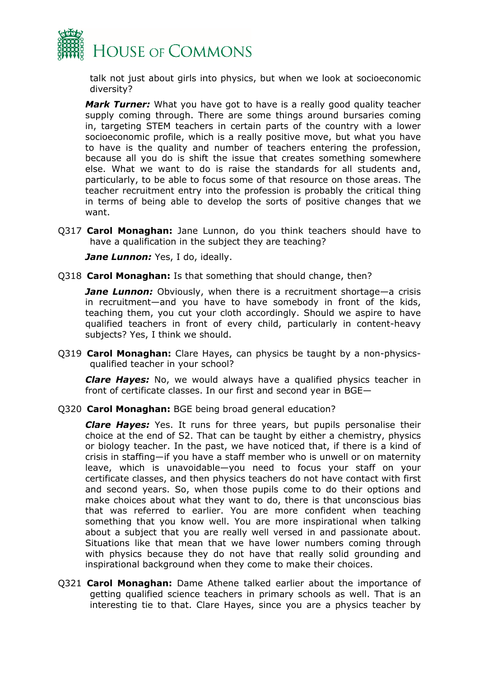

talk not just about girls into physics, but when we look at socioeconomic diversity?

*Mark Turner:* What you have got to have is a really good quality teacher supply coming through. There are some things around bursaries coming in, targeting STEM teachers in certain parts of the country with a lower socioeconomic profile, which is a really positive move, but what you have to have is the quality and number of teachers entering the profession, because all you do is shift the issue that creates something somewhere else. What we want to do is raise the standards for all students and, particularly, to be able to focus some of that resource on those areas. The teacher recruitment entry into the profession is probably the critical thing in terms of being able to develop the sorts of positive changes that we want.

Q317 **Carol Monaghan:** Jane Lunnon, do you think teachers should have to have a qualification in the subject they are teaching?

*Jane Lunnon: Yes, I do, ideally.* 

Q318 **Carol Monaghan:** Is that something that should change, then?

*Jane Lunnon:* Obviously, when there is a recruitment shortage—a crisis in recruitment—and you have to have somebody in front of the kids, teaching them, you cut your cloth accordingly. Should we aspire to have qualified teachers in front of every child, particularly in content-heavy subjects? Yes, I think we should.

Q319 **Carol Monaghan:** Clare Hayes, can physics be taught by a non-physicsqualified teacher in your school?

*Clare Hayes:* No, we would always have a qualified physics teacher in front of certificate classes. In our first and second year in BGE—

Q320 **Carol Monaghan:** BGE being broad general education?

*Clare Hayes:* Yes. It runs for three years, but pupils personalise their choice at the end of S2. That can be taught by either a chemistry, physics or biology teacher. In the past, we have noticed that, if there is a kind of crisis in staffing—if you have a staff member who is unwell or on maternity leave, which is unavoidable—you need to focus your staff on your certificate classes, and then physics teachers do not have contact with first and second years. So, when those pupils come to do their options and make choices about what they want to do, there is that unconscious bias that was referred to earlier. You are more confident when teaching something that you know well. You are more inspirational when talking about a subject that you are really well versed in and passionate about. Situations like that mean that we have lower numbers coming through with physics because they do not have that really solid grounding and inspirational background when they come to make their choices.

Q321 **Carol Monaghan:** Dame Athene talked earlier about the importance of getting qualified science teachers in primary schools as well. That is an interesting tie to that. Clare Hayes, since you are a physics teacher by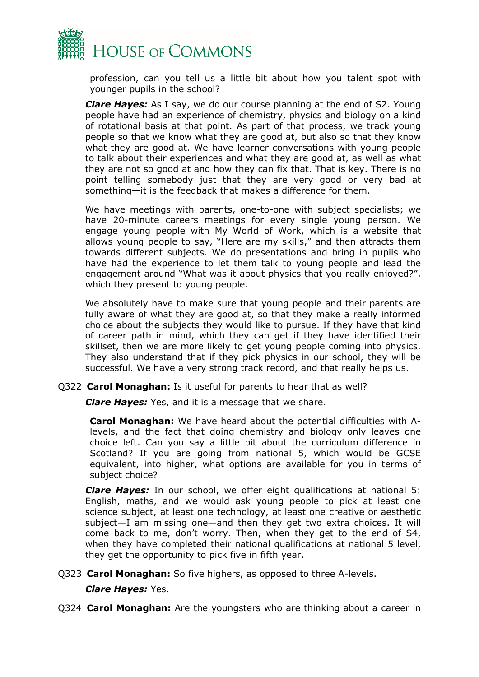

profession, can you tell us a little bit about how you talent spot with younger pupils in the school?

*Clare Hayes:* As I say, we do our course planning at the end of S2. Young people have had an experience of chemistry, physics and biology on a kind of rotational basis at that point. As part of that process, we track young people so that we know what they are good at, but also so that they know what they are good at. We have learner conversations with young people to talk about their experiences and what they are good at, as well as what they are not so good at and how they can fix that. That is key. There is no point telling somebody just that they are very good or very bad at something—it is the feedback that makes a difference for them.

We have meetings with parents, one-to-one with subject specialists; we have 20-minute careers meetings for every single young person. We engage young people with My World of Work, which is a website that allows young people to say, "Here are my skills," and then attracts them towards different subjects. We do presentations and bring in pupils who have had the experience to let them talk to young people and lead the engagement around "What was it about physics that you really enjoyed?", which they present to young people.

We absolutely have to make sure that young people and their parents are fully aware of what they are good at, so that they make a really informed choice about the subjects they would like to pursue. If they have that kind of career path in mind, which they can get if they have identified their skillset, then we are more likely to get young people coming into physics. They also understand that if they pick physics in our school, they will be successful. We have a very strong track record, and that really helps us.

#### Q322 **Carol Monaghan:** Is it useful for parents to hear that as well?

*Clare Hayes:* Yes, and it is a message that we share.

**Carol Monaghan:** We have heard about the potential difficulties with Alevels, and the fact that doing chemistry and biology only leaves one choice left. Can you say a little bit about the curriculum difference in Scotland? If you are going from national 5, which would be GCSE equivalent, into higher, what options are available for you in terms of subject choice?

*Clare Hayes:* In our school, we offer eight qualifications at national 5: English, maths, and we would ask young people to pick at least one science subject, at least one technology, at least one creative or aesthetic subject—I am missing one—and then they get two extra choices. It will come back to me, don't worry. Then, when they get to the end of S4, when they have completed their national qualifications at national 5 level, they get the opportunity to pick five in fifth year.

Q323 **Carol Monaghan:** So five highers, as opposed to three A-levels.

*Clare Hayes:* Yes.

Q324 **Carol Monaghan:** Are the youngsters who are thinking about a career in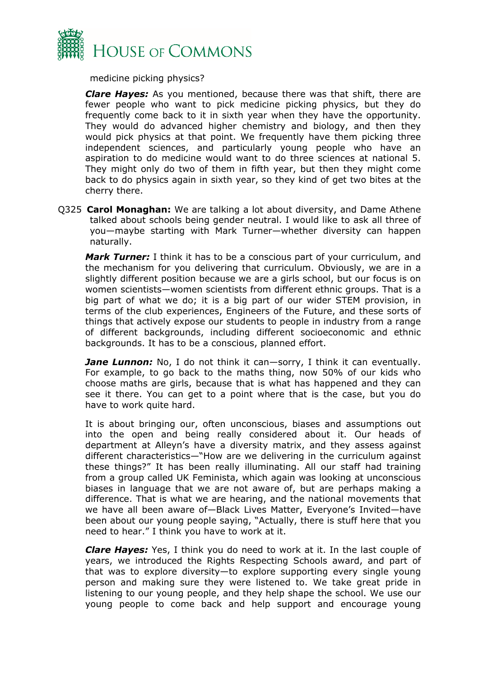

medicine picking physics?

*Clare Hayes:* As you mentioned, because there was that shift, there are fewer people who want to pick medicine picking physics, but they do frequently come back to it in sixth year when they have the opportunity. They would do advanced higher chemistry and biology, and then they would pick physics at that point. We frequently have them picking three independent sciences, and particularly young people who have an aspiration to do medicine would want to do three sciences at national 5. They might only do two of them in fifth year, but then they might come back to do physics again in sixth year, so they kind of get two bites at the cherry there.

Q325 **Carol Monaghan:** We are talking a lot about diversity, and Dame Athene talked about schools being gender neutral. I would like to ask all three of you—maybe starting with Mark Turner—whether diversity can happen naturally.

*Mark Turner:* I think it has to be a conscious part of your curriculum, and the mechanism for you delivering that curriculum. Obviously, we are in a slightly different position because we are a girls school, but our focus is on women scientists—women scientists from different ethnic groups. That is a big part of what we do; it is a big part of our wider STEM provision, in terms of the club experiences, Engineers of the Future, and these sorts of things that actively expose our students to people in industry from a range of different backgrounds, including different socioeconomic and ethnic backgrounds. It has to be a conscious, planned effort.

*Jane Lunnon:* No, I do not think it can—sorry, I think it can eventually. For example, to go back to the maths thing, now 50% of our kids who choose maths are girls, because that is what has happened and they can see it there. You can get to a point where that is the case, but you do have to work quite hard.

It is about bringing our, often unconscious, biases and assumptions out into the open and being really considered about it. Our heads of department at Alleyn's have a diversity matrix, and they assess against different characteristics—"How are we delivering in the curriculum against these things?" It has been really illuminating. All our staff had training from a group called UK Feminista, which again was looking at unconscious biases in language that we are not aware of, but are perhaps making a difference. That is what we are hearing, and the national movements that we have all been aware of—Black Lives Matter, Everyone's Invited—have been about our young people saying, "Actually, there is stuff here that you need to hear." I think you have to work at it.

*Clare Hayes:* Yes, I think you do need to work at it. In the last couple of years, we introduced the Rights Respecting Schools award, and part of that was to explore diversity—to explore supporting every single young person and making sure they were listened to. We take great pride in listening to our young people, and they help shape the school. We use our young people to come back and help support and encourage young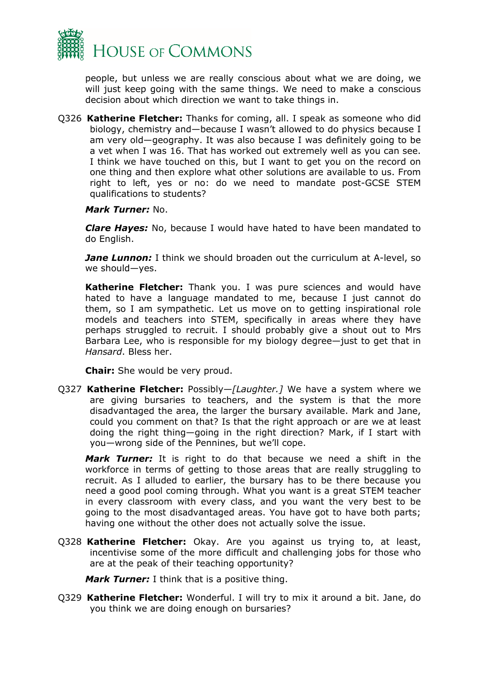

people, but unless we are really conscious about what we are doing, we will just keep going with the same things. We need to make a conscious decision about which direction we want to take things in.

Q326 **Katherine Fletcher:** Thanks for coming, all. I speak as someone who did biology, chemistry and—because I wasn't allowed to do physics because I am very old—geography. It was also because I was definitely going to be a vet when I was 16. That has worked out extremely well as you can see. I think we have touched on this, but I want to get you on the record on one thing and then explore what other solutions are available to us. From right to left, yes or no: do we need to mandate post-GCSE STEM qualifications to students?

#### *Mark Turner:* No.

*Clare Hayes:* No, because I would have hated to have been mandated to do English.

**Jane Lunnon:** I think we should broaden out the curriculum at A-level, so we should—yes.

**Katherine Fletcher:** Thank you. I was pure sciences and would have hated to have a language mandated to me, because I just cannot do them, so I am sympathetic. Let us move on to getting inspirational role models and teachers into STEM, specifically in areas where they have perhaps struggled to recruit. I should probably give a shout out to Mrs Barbara Lee, who is responsible for my biology degree—just to get that in *Hansard*. Bless her.

**Chair:** She would be very proud.

Q327 **Katherine Fletcher:** Possibly—*[Laughter.]* We have a system where we are giving bursaries to teachers, and the system is that the more disadvantaged the area, the larger the bursary available. Mark and Jane, could you comment on that? Is that the right approach or are we at least doing the right thing—going in the right direction? Mark, if I start with you—wrong side of the Pennines, but we'll cope.

*Mark Turner:* It is right to do that because we need a shift in the workforce in terms of getting to those areas that are really struggling to recruit. As I alluded to earlier, the bursary has to be there because you need a good pool coming through. What you want is a great STEM teacher in every classroom with every class, and you want the very best to be going to the most disadvantaged areas. You have got to have both parts; having one without the other does not actually solve the issue.

Q328 **Katherine Fletcher:** Okay. Are you against us trying to, at least, incentivise some of the more difficult and challenging jobs for those who are at the peak of their teaching opportunity?

*Mark Turner:* I think that is a positive thing.

Q329 **Katherine Fletcher:** Wonderful. I will try to mix it around a bit. Jane, do you think we are doing enough on bursaries?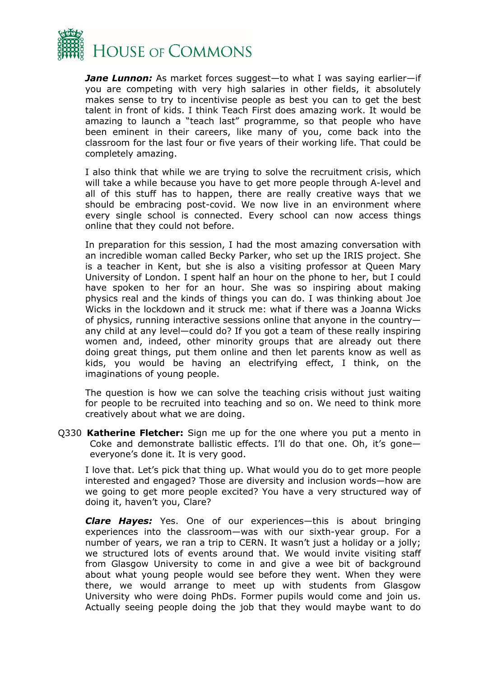

*Jane Lunnon:* As market forces suggest—to what I was saying earlier—if you are competing with very high salaries in other fields, it absolutely makes sense to try to incentivise people as best you can to get the best talent in front of kids. I think Teach First does amazing work. It would be amazing to launch a "teach last" programme, so that people who have been eminent in their careers, like many of you, come back into the classroom for the last four or five years of their working life. That could be completely amazing.

I also think that while we are trying to solve the recruitment crisis, which will take a while because you have to get more people through A-level and all of this stuff has to happen, there are really creative ways that we should be embracing post-covid. We now live in an environment where every single school is connected. Every school can now access things online that they could not before.

In preparation for this session, I had the most amazing conversation with an incredible woman called Becky Parker, who set up the IRIS project. She is a teacher in Kent, but she is also a visiting professor at Queen Mary University of London. I spent half an hour on the phone to her, but I could have spoken to her for an hour. She was so inspiring about making physics real and the kinds of things you can do. I was thinking about Joe Wicks in the lockdown and it struck me: what if there was a Joanna Wicks of physics, running interactive sessions online that anyone in the country any child at any level—could do? If you got a team of these really inspiring women and, indeed, other minority groups that are already out there doing great things, put them online and then let parents know as well as kids, you would be having an electrifying effect, I think, on the imaginations of young people.

The question is how we can solve the teaching crisis without just waiting for people to be recruited into teaching and so on. We need to think more creatively about what we are doing.

Q330 **Katherine Fletcher:** Sign me up for the one where you put a mento in Coke and demonstrate ballistic effects. I'll do that one. Oh, it's gone everyone's done it. It is very good.

I love that. Let's pick that thing up. What would you do to get more people interested and engaged? Those are diversity and inclusion words—how are we going to get more people excited? You have a very structured way of doing it, haven't you, Clare?

*Clare Hayes:* Yes. One of our experiences—this is about bringing experiences into the classroom—was with our sixth-year group. For a number of years, we ran a trip to CERN. It wasn't just a holiday or a jolly; we structured lots of events around that. We would invite visiting staff from Glasgow University to come in and give a wee bit of background about what young people would see before they went. When they were there, we would arrange to meet up with students from Glasgow University who were doing PhDs. Former pupils would come and join us. Actually seeing people doing the job that they would maybe want to do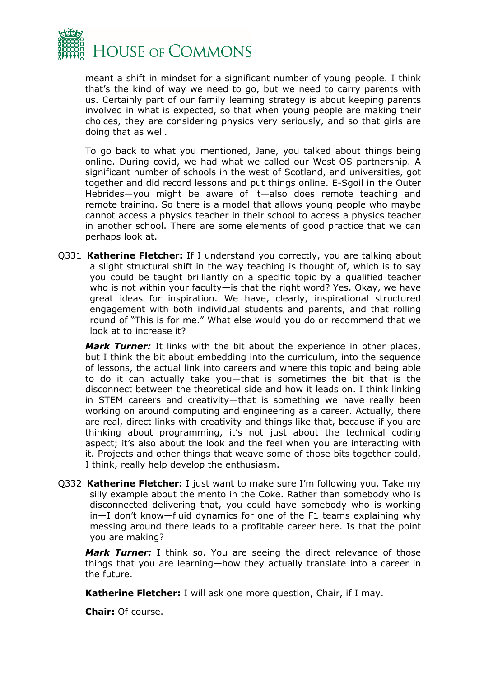

meant a shift in mindset for a significant number of young people. I think that's the kind of way we need to go, but we need to carry parents with us. Certainly part of our family learning strategy is about keeping parents involved in what is expected, so that when young people are making their choices, they are considering physics very seriously, and so that girls are doing that as well.

To go back to what you mentioned, Jane, you talked about things being online. During covid, we had what we called our West OS partnership. A significant number of schools in the west of Scotland, and universities, got together and did record lessons and put things online. E-Sgoil in the Outer Hebrides—you might be aware of it—also does remote teaching and remote training. So there is a model that allows young people who maybe cannot access a physics teacher in their school to access a physics teacher in another school. There are some elements of good practice that we can perhaps look at.

Q331 **Katherine Fletcher:** If I understand you correctly, you are talking about a slight structural shift in the way teaching is thought of, which is to say you could be taught brilliantly on a specific topic by a qualified teacher who is not within your faculty—is that the right word? Yes. Okay, we have great ideas for inspiration. We have, clearly, inspirational structured engagement with both individual students and parents, and that rolling round of "This is for me." What else would you do or recommend that we look at to increase it?

*Mark Turner:* It links with the bit about the experience in other places, but I think the bit about embedding into the curriculum, into the sequence of lessons, the actual link into careers and where this topic and being able to do it can actually take you—that is sometimes the bit that is the disconnect between the theoretical side and how it leads on. I think linking in STEM careers and creativity—that is something we have really been working on around computing and engineering as a career. Actually, there are real, direct links with creativity and things like that, because if you are thinking about programming, it's not just about the technical coding aspect; it's also about the look and the feel when you are interacting with it. Projects and other things that weave some of those bits together could, I think, really help develop the enthusiasm.

Q332 **Katherine Fletcher:** I just want to make sure I'm following you. Take my silly example about the mento in the Coke. Rather than somebody who is disconnected delivering that, you could have somebody who is working in—I don't know—fluid dynamics for one of the F1 teams explaining why messing around there leads to a profitable career here. Is that the point you are making?

*Mark Turner:* I think so. You are seeing the direct relevance of those things that you are learning—how they actually translate into a career in the future.

**Katherine Fletcher:** I will ask one more question, Chair, if I may.

**Chair:** Of course.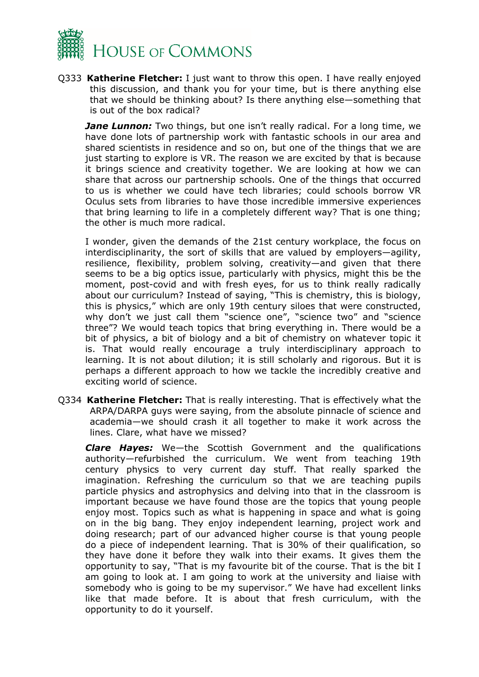

Q333 **Katherine Fletcher:** I just want to throw this open. I have really enjoyed this discussion, and thank you for your time, but is there anything else that we should be thinking about? Is there anything else—something that is out of the box radical?

*Jane Lunnon:* Two things, but one isn't really radical. For a long time, we have done lots of partnership work with fantastic schools in our area and shared scientists in residence and so on, but one of the things that we are just starting to explore is VR. The reason we are excited by that is because it brings science and creativity together. We are looking at how we can share that across our partnership schools. One of the things that occurred to us is whether we could have tech libraries; could schools borrow VR Oculus sets from libraries to have those incredible immersive experiences that bring learning to life in a completely different way? That is one thing; the other is much more radical.

I wonder, given the demands of the 21st century workplace, the focus on interdisciplinarity, the sort of skills that are valued by employers—agility, resilience, flexibility, problem solving, creativity—and given that there seems to be a big optics issue, particularly with physics, might this be the moment, post-covid and with fresh eyes, for us to think really radically about our curriculum? Instead of saying, "This is chemistry, this is biology, this is physics," which are only 19th century siloes that were constructed, why don't we just call them "science one", "science two" and "science three"? We would teach topics that bring everything in. There would be a bit of physics, a bit of biology and a bit of chemistry on whatever topic it is. That would really encourage a truly interdisciplinary approach to learning. It is not about dilution; it is still scholarly and rigorous. But it is perhaps a different approach to how we tackle the incredibly creative and exciting world of science.

Q334 **Katherine Fletcher:** That is really interesting. That is effectively what the ARPA/DARPA guys were saying, from the absolute pinnacle of science and academia—we should crash it all together to make it work across the lines. Clare, what have we missed?

*Clare Hayes:* We—the Scottish Government and the qualifications authority—refurbished the curriculum. We went from teaching 19th century physics to very current day stuff. That really sparked the imagination. Refreshing the curriculum so that we are teaching pupils particle physics and astrophysics and delving into that in the classroom is important because we have found those are the topics that young people enjoy most. Topics such as what is happening in space and what is going on in the big bang. They enjoy independent learning, project work and doing research; part of our advanced higher course is that young people do a piece of independent learning. That is 30% of their qualification, so they have done it before they walk into their exams. It gives them the opportunity to say, "That is my favourite bit of the course. That is the bit I am going to look at. I am going to work at the university and liaise with somebody who is going to be my supervisor." We have had excellent links like that made before. It is about that fresh curriculum, with the opportunity to do it yourself.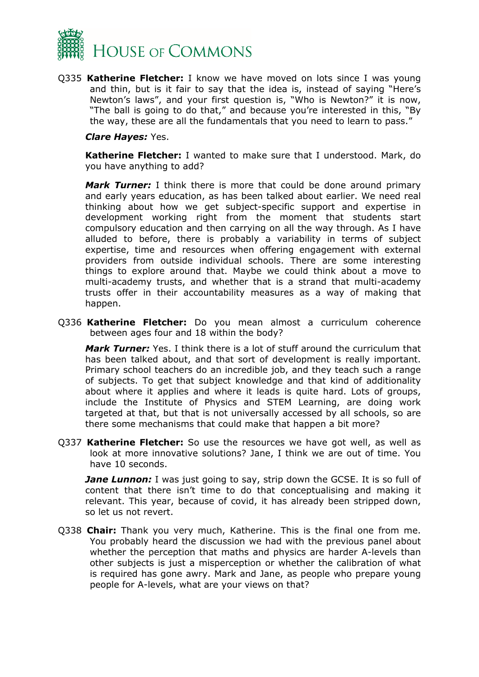

Q335 **Katherine Fletcher:** I know we have moved on lots since I was young and thin, but is it fair to say that the idea is, instead of saying "Here's Newton's laws", and your first question is, "Who is Newton?" it is now, "The ball is going to do that," and because you're interested in this, "By the way, these are all the fundamentals that you need to learn to pass."

#### *Clare Hayes:* Yes.

**Katherine Fletcher:** I wanted to make sure that I understood. Mark, do you have anything to add?

*Mark Turner:* I think there is more that could be done around primary and early years education, as has been talked about earlier. We need real thinking about how we get subject-specific support and expertise in development working right from the moment that students start compulsory education and then carrying on all the way through. As I have alluded to before, there is probably a variability in terms of subject expertise, time and resources when offering engagement with external providers from outside individual schools. There are some interesting things to explore around that. Maybe we could think about a move to multi-academy trusts, and whether that is a strand that multi-academy trusts offer in their accountability measures as a way of making that happen.

Q336 **Katherine Fletcher:** Do you mean almost a curriculum coherence between ages four and 18 within the body?

*Mark Turner:* Yes. I think there is a lot of stuff around the curriculum that has been talked about, and that sort of development is really important. Primary school teachers do an incredible job, and they teach such a range of subjects. To get that subject knowledge and that kind of additionality about where it applies and where it leads is quite hard. Lots of groups, include the Institute of Physics and STEM Learning, are doing work targeted at that, but that is not universally accessed by all schools, so are there some mechanisms that could make that happen a bit more?

Q337 **Katherine Fletcher:** So use the resources we have got well, as well as look at more innovative solutions? Jane, I think we are out of time. You have 10 seconds.

*Jane Lunnon:* I was just going to say, strip down the GCSE. It is so full of content that there isn't time to do that conceptualising and making it relevant. This year, because of covid, it has already been stripped down, so let us not revert.

Q338 **Chair:** Thank you very much, Katherine. This is the final one from me. You probably heard the discussion we had with the previous panel about whether the perception that maths and physics are harder A-levels than other subjects is just a misperception or whether the calibration of what is required has gone awry. Mark and Jane, as people who prepare young people for A-levels, what are your views on that?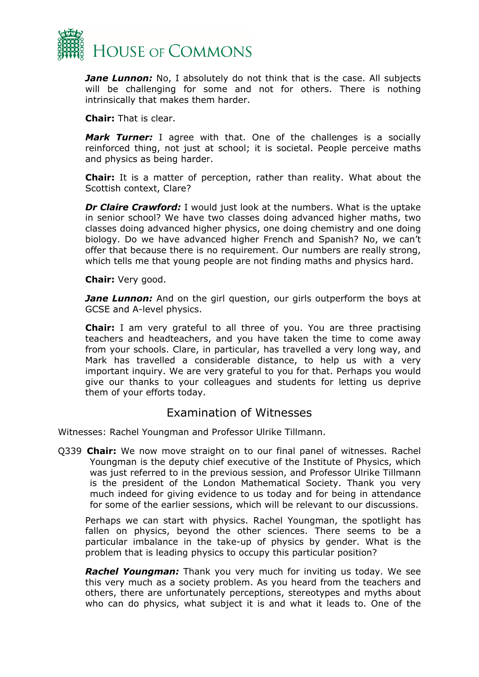

*Jane Lunnon:* No, I absolutely do not think that is the case. All subjects will be challenging for some and not for others. There is nothing intrinsically that makes them harder.

**Chair:** That is clear.

*Mark Turner:* I agree with that. One of the challenges is a socially reinforced thing, not just at school; it is societal. People perceive maths and physics as being harder.

**Chair:** It is a matter of perception, rather than reality. What about the Scottish context, Clare?

*Dr Claire Crawford:* I would just look at the numbers. What is the uptake in senior school? We have two classes doing advanced higher maths, two classes doing advanced higher physics, one doing chemistry and one doing biology. Do we have advanced higher French and Spanish? No, we can't offer that because there is no requirement. Our numbers are really strong, which tells me that young people are not finding maths and physics hard.

**Chair:** Very good.

*Jane Lunnon:* And on the girl question, our girls outperform the boys at GCSE and A-level physics.

**Chair:** I am very grateful to all three of you. You are three practising teachers and headteachers, and you have taken the time to come away from your schools. Clare, in particular, has travelled a very long way, and Mark has travelled a considerable distance, to help us with a very important inquiry. We are very grateful to you for that. Perhaps you would give our thanks to your colleagues and students for letting us deprive them of your efforts today.

### Examination of Witnesses

Witnesses: Rachel Youngman and Professor Ulrike Tillmann.

Q339 **Chair:** We now move straight on to our final panel of witnesses. Rachel Youngman is the deputy chief executive of the Institute of Physics, which was just referred to in the previous session, and Professor Ulrike Tillmann is the president of the London Mathematical Society. Thank you very much indeed for giving evidence to us today and for being in attendance for some of the earlier sessions, which will be relevant to our discussions.

Perhaps we can start with physics. Rachel Youngman, the spotlight has fallen on physics, beyond the other sciences. There seems to be a particular imbalance in the take-up of physics by gender. What is the problem that is leading physics to occupy this particular position?

*Rachel Youngman:* Thank you very much for inviting us today. We see this very much as a society problem. As you heard from the teachers and others, there are unfortunately perceptions, stereotypes and myths about who can do physics, what subject it is and what it leads to. One of the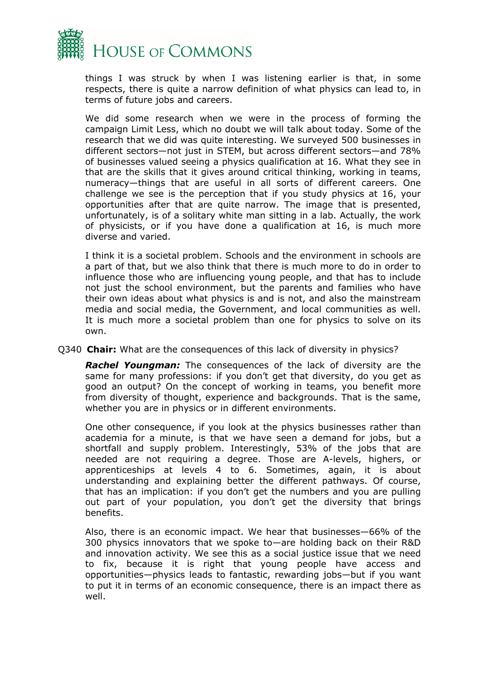

things I was struck by when I was listening earlier is that, in some respects, there is quite a narrow definition of what physics can lead to, in terms of future jobs and careers.

We did some research when we were in the process of forming the campaign Limit Less, which no doubt we will talk about today. Some of the research that we did was quite interesting. We surveyed 500 businesses in different sectors—not just in STEM, but across different sectors—and 78% of businesses valued seeing a physics qualification at 16. What they see in that are the skills that it gives around critical thinking, working in teams, numeracy—things that are useful in all sorts of different careers. One challenge we see is the perception that if you study physics at 16, your opportunities after that are quite narrow. The image that is presented, unfortunately, is of a solitary white man sitting in a lab. Actually, the work of physicists, or if you have done a qualification at 16, is much more diverse and varied.

I think it is a societal problem. Schools and the environment in schools are a part of that, but we also think that there is much more to do in order to influence those who are influencing young people, and that has to include not just the school environment, but the parents and families who have their own ideas about what physics is and is not, and also the mainstream media and social media, the Government, and local communities as well. It is much more a societal problem than one for physics to solve on its own.

#### Q340 **Chair:** What are the consequences of this lack of diversity in physics?

*Rachel Youngman:* The consequences of the lack of diversity are the same for many professions: if you don't get that diversity, do you get as good an output? On the concept of working in teams, you benefit more from diversity of thought, experience and backgrounds. That is the same, whether you are in physics or in different environments.

One other consequence, if you look at the physics businesses rather than academia for a minute, is that we have seen a demand for jobs, but a shortfall and supply problem. Interestingly, 53% of the jobs that are needed are not requiring a degree. Those are A-levels, highers, or apprenticeships at levels 4 to 6. Sometimes, again, it is about understanding and explaining better the different pathways. Of course, that has an implication: if you don't get the numbers and you are pulling out part of your population, you don't get the diversity that brings benefits.

Also, there is an economic impact. We hear that businesses—66% of the 300 physics innovators that we spoke to—are holding back on their R&D and innovation activity. We see this as a social justice issue that we need to fix, because it is right that young people have access and opportunities—physics leads to fantastic, rewarding jobs—but if you want to put it in terms of an economic consequence, there is an impact there as well.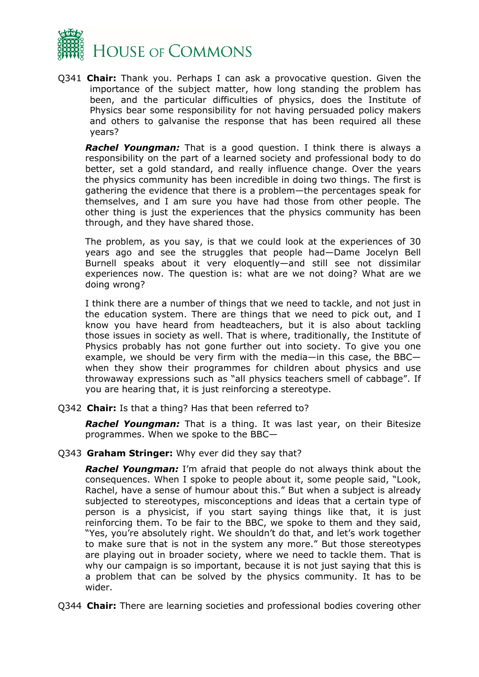

Q341 **Chair:** Thank you. Perhaps I can ask a provocative question. Given the importance of the subject matter, how long standing the problem has been, and the particular difficulties of physics, does the Institute of Physics bear some responsibility for not having persuaded policy makers and others to galvanise the response that has been required all these years?

*Rachel Youngman:* That is a good question. I think there is always a responsibility on the part of a learned society and professional body to do better, set a gold standard, and really influence change. Over the years the physics community has been incredible in doing two things. The first is gathering the evidence that there is a problem—the percentages speak for themselves, and I am sure you have had those from other people. The other thing is just the experiences that the physics community has been through, and they have shared those.

The problem, as you say, is that we could look at the experiences of 30 years ago and see the struggles that people had—Dame Jocelyn Bell Burnell speaks about it very eloquently—and still see not dissimilar experiences now. The question is: what are we not doing? What are we doing wrong?

I think there are a number of things that we need to tackle, and not just in the education system. There are things that we need to pick out, and I know you have heard from headteachers, but it is also about tackling those issues in society as well. That is where, traditionally, the Institute of Physics probably has not gone further out into society. To give you one example, we should be very firm with the media—in this case, the BBC when they show their programmes for children about physics and use throwaway expressions such as "all physics teachers smell of cabbage". If you are hearing that, it is just reinforcing a stereotype.

Q342 **Chair:** Is that a thing? Has that been referred to?

*Rachel Youngman:* That is a thing. It was last year, on their Bitesize programmes. When we spoke to the BBC—

Q343 **Graham Stringer:** Why ever did they say that?

*Rachel Youngman:* I'm afraid that people do not always think about the consequences. When I spoke to people about it, some people said, "Look, Rachel, have a sense of humour about this." But when a subject is already subjected to stereotypes, misconceptions and ideas that a certain type of person is a physicist, if you start saying things like that, it is just reinforcing them. To be fair to the BBC, we spoke to them and they said, "Yes, you're absolutely right. We shouldn't do that, and let's work together to make sure that is not in the system any more." But those stereotypes are playing out in broader society, where we need to tackle them. That is why our campaign is so important, because it is not just saying that this is a problem that can be solved by the physics community. It has to be wider.

Q344 **Chair:** There are learning societies and professional bodies covering other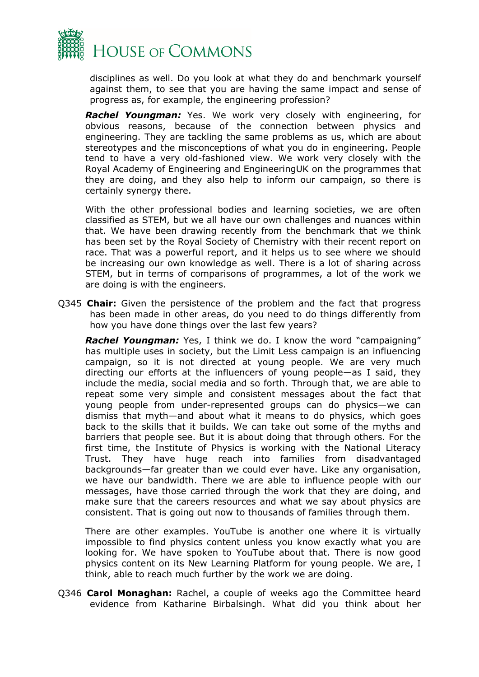

disciplines as well. Do you look at what they do and benchmark yourself against them, to see that you are having the same impact and sense of progress as, for example, the engineering profession?

*Rachel Youngman:* Yes. We work very closely with engineering, for obvious reasons, because of the connection between physics and engineering. They are tackling the same problems as us, which are about stereotypes and the misconceptions of what you do in engineering. People tend to have a very old-fashioned view. We work very closely with the Royal Academy of Engineering and EngineeringUK on the programmes that they are doing, and they also help to inform our campaign, so there is certainly synergy there.

With the other professional bodies and learning societies, we are often classified as STEM, but we all have our own challenges and nuances within that. We have been drawing recently from the benchmark that we think has been set by the Royal Society of Chemistry with their recent report on race. That was a powerful report, and it helps us to see where we should be increasing our own knowledge as well. There is a lot of sharing across STEM, but in terms of comparisons of programmes, a lot of the work we are doing is with the engineers.

Q345 **Chair:** Given the persistence of the problem and the fact that progress has been made in other areas, do you need to do things differently from how you have done things over the last few years?

*Rachel Youngman:* Yes, I think we do. I know the word "campaigning" has multiple uses in society, but the Limit Less campaign is an influencing campaign, so it is not directed at young people. We are very much directing our efforts at the influencers of young people—as I said, they include the media, social media and so forth. Through that, we are able to repeat some very simple and consistent messages about the fact that young people from under-represented groups can do physics—we can dismiss that myth—and about what it means to do physics, which goes back to the skills that it builds. We can take out some of the myths and barriers that people see. But it is about doing that through others. For the first time, the Institute of Physics is working with the National Literacy Trust. They have huge reach into families from disadvantaged backgrounds—far greater than we could ever have. Like any organisation, we have our bandwidth. There we are able to influence people with our messages, have those carried through the work that they are doing, and make sure that the careers resources and what we say about physics are consistent. That is going out now to thousands of families through them.

There are other examples. YouTube is another one where it is virtually impossible to find physics content unless you know exactly what you are looking for. We have spoken to YouTube about that. There is now good physics content on its New Learning Platform for young people. We are, I think, able to reach much further by the work we are doing.

Q346 **Carol Monaghan:** Rachel, a couple of weeks ago the Committee heard evidence from Katharine Birbalsingh. What did you think about her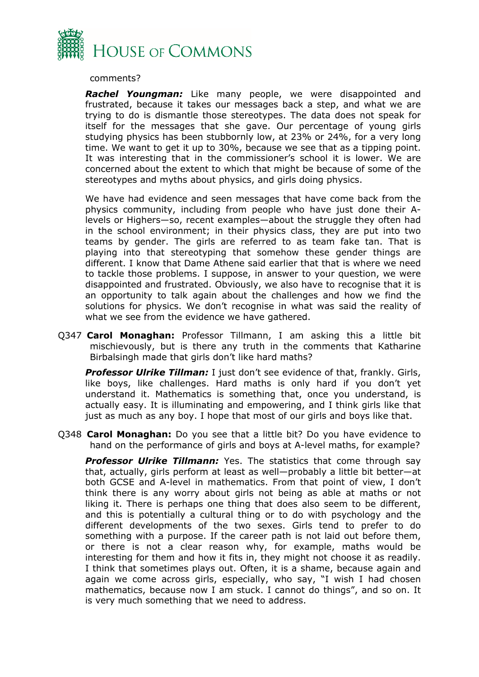

comments?

*Rachel Youngman:* Like many people, we were disappointed and frustrated, because it takes our messages back a step, and what we are trying to do is dismantle those stereotypes. The data does not speak for itself for the messages that she gave. Our percentage of young girls studying physics has been stubbornly low, at 23% or 24%, for a very long time. We want to get it up to 30%, because we see that as a tipping point. It was interesting that in the commissioner's school it is lower. We are concerned about the extent to which that might be because of some of the stereotypes and myths about physics, and girls doing physics.

We have had evidence and seen messages that have come back from the physics community, including from people who have just done their Alevels or Highers—so, recent examples—about the struggle they often had in the school environment; in their physics class, they are put into two teams by gender. The girls are referred to as team fake tan. That is playing into that stereotyping that somehow these gender things are different. I know that Dame Athene said earlier that that is where we need to tackle those problems. I suppose, in answer to your question, we were disappointed and frustrated. Obviously, we also have to recognise that it is an opportunity to talk again about the challenges and how we find the solutions for physics. We don't recognise in what was said the reality of what we see from the evidence we have gathered.

Q347 **Carol Monaghan:** Professor Tillmann, I am asking this a little bit mischievously, but is there any truth in the comments that Katharine Birbalsingh made that girls don't like hard maths?

*Professor Ulrike Tillman:* I just don't see evidence of that, frankly. Girls, like boys, like challenges. Hard maths is only hard if you don't yet understand it. Mathematics is something that, once you understand, is actually easy. It is illuminating and empowering, and I think girls like that just as much as any boy. I hope that most of our girls and boys like that.

Q348 **Carol Monaghan:** Do you see that a little bit? Do you have evidence to hand on the performance of girls and boys at A-level maths, for example?

*Professor Ulrike Tillmann:* Yes. The statistics that come through say that, actually, girls perform at least as well—probably a little bit better—at both GCSE and A-level in mathematics. From that point of view, I don't think there is any worry about girls not being as able at maths or not liking it. There is perhaps one thing that does also seem to be different, and this is potentially a cultural thing or to do with psychology and the different developments of the two sexes. Girls tend to prefer to do something with a purpose. If the career path is not laid out before them, or there is not a clear reason why, for example, maths would be interesting for them and how it fits in, they might not choose it as readily. I think that sometimes plays out. Often, it is a shame, because again and again we come across girls, especially, who say, "I wish I had chosen mathematics, because now I am stuck. I cannot do things", and so on. It is very much something that we need to address.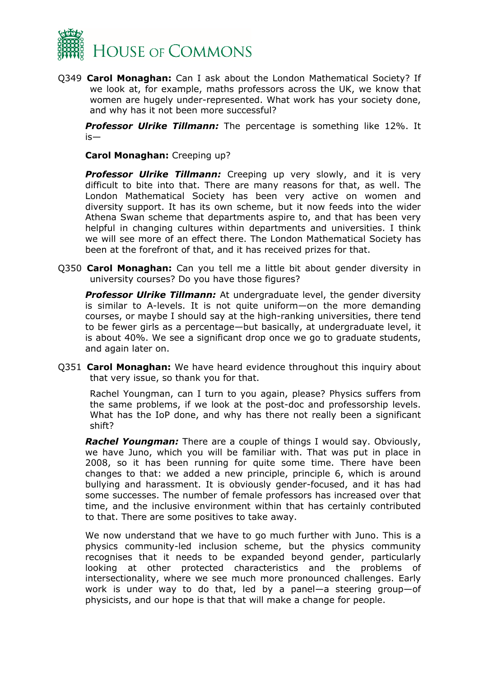

Q349 **Carol Monaghan:** Can I ask about the London Mathematical Society? If we look at, for example, maths professors across the UK, we know that women are hugely under-represented. What work has your society done, and why has it not been more successful?

*Professor Ulrike Tillmann:* The percentage is something like 12%. It is—

**Carol Monaghan:** Creeping up?

**Professor Ulrike Tillmann:** Creeping up very slowly, and it is very difficult to bite into that. There are many reasons for that, as well. The London Mathematical Society has been very active on women and diversity support. It has its own scheme, but it now feeds into the wider Athena Swan scheme that departments aspire to, and that has been very helpful in changing cultures within departments and universities. I think we will see more of an effect there. The London Mathematical Society has been at the forefront of that, and it has received prizes for that.

Q350 **Carol Monaghan:** Can you tell me a little bit about gender diversity in university courses? Do you have those figures?

*Professor Ulrike Tillmann:* At undergraduate level, the gender diversity is similar to A-levels. It is not quite uniform—on the more demanding courses, or maybe I should say at the high-ranking universities, there tend to be fewer girls as a percentage—but basically, at undergraduate level, it is about 40%. We see a significant drop once we go to graduate students, and again later on.

Q351 **Carol Monaghan:** We have heard evidence throughout this inquiry about that very issue, so thank you for that.

Rachel Youngman, can I turn to you again, please? Physics suffers from the same problems, if we look at the post-doc and professorship levels. What has the IoP done, and why has there not really been a significant shift?

*Rachel Youngman:* There are a couple of things I would say. Obviously, we have Juno, which you will be familiar with. That was put in place in 2008, so it has been running for quite some time. There have been changes to that: we added a new principle, principle 6, which is around bullying and harassment. It is obviously gender-focused, and it has had some successes. The number of female professors has increased over that time, and the inclusive environment within that has certainly contributed to that. There are some positives to take away.

We now understand that we have to go much further with Juno. This is a physics community-led inclusion scheme, but the physics community recognises that it needs to be expanded beyond gender, particularly looking at other protected characteristics and the problems of intersectionality, where we see much more pronounced challenges. Early work is under way to do that, led by a panel—a steering group—of physicists, and our hope is that that will make a change for people.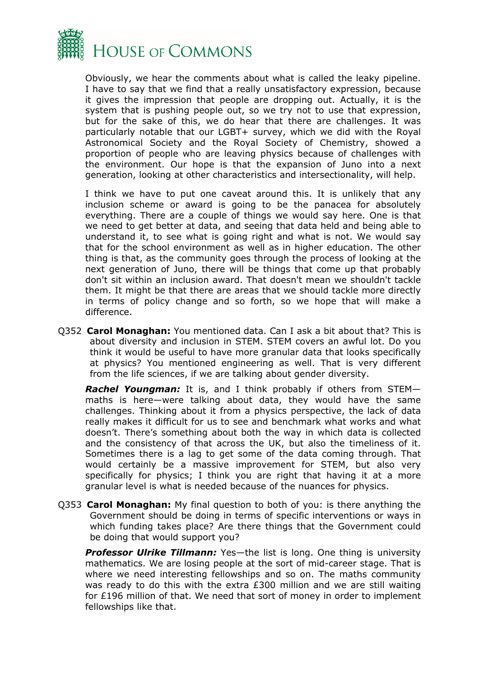

Obviously, we hear the comments about what is called the leaky pipeline. I have to say that we find that a really unsatisfactory expression, because it gives the impression that people are dropping out. Actually, it is the system that is pushing people out, so we try not to use that expression, but for the sake of this, we do hear that there are challenges. It was particularly notable that our LGBT+ survey, which we did with the Royal Astronomical Society and the Royal Society of Chemistry, showed a proportion of people who are leaving physics because of challenges with the environment. Our hope is that the expansion of Juno into a next generation, looking at other characteristics and intersectionality, will help.

I think we have to put one caveat around this. It is unlikely that any inclusion scheme or award is going to be the panacea for absolutely everything. There are a couple of things we would say here. One is that we need to get better at data, and seeing that data held and being able to understand it, to see what is going right and what is not. We would say that for the school environment as well as in higher education. The other thing is that, as the community goes through the process of looking at the next generation of Juno, there will be things that come up that probably don't sit within an inclusion award. That doesn't mean we shouldn't tackle them. It might be that there are areas that we should tackle more directly in terms of policy change and so forth, so we hope that will make a difference.

Q352 **Carol Monaghan:** You mentioned data. Can I ask a bit about that? This is about diversity and inclusion in STEM. STEM covers an awful lot. Do you think it would be useful to have more granular data that looks specifically at physics? You mentioned engineering as well. That is very different from the life sciences, if we are talking about gender diversity.

*Rachel Youngman:* It is, and I think probably if others from STEM maths is here—were talking about data, they would have the same challenges. Thinking about it from a physics perspective, the lack of data really makes it difficult for us to see and benchmark what works and what doesn't. There's something about both the way in which data is collected and the consistency of that across the UK, but also the timeliness of it. Sometimes there is a lag to get some of the data coming through. That would certainly be a massive improvement for STEM, but also very specifically for physics; I think you are right that having it at a more granular level is what is needed because of the nuances for physics.

Q353 **Carol Monaghan:** My final question to both of you: is there anything the Government should be doing in terms of specific interventions or ways in which funding takes place? Are there things that the Government could be doing that would support you?

*Professor Ulrike Tillmann:* Yes—the list is long. One thing is university mathematics. We are losing people at the sort of mid-career stage. That is where we need interesting fellowships and so on. The maths community was ready to do this with the extra £300 million and we are still waiting for £196 million of that. We need that sort of money in order to implement fellowships like that.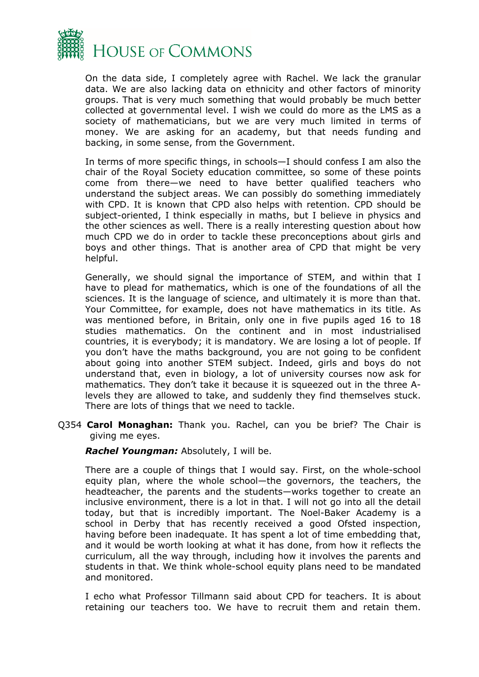

On the data side, I completely agree with Rachel. We lack the granular data. We are also lacking data on ethnicity and other factors of minority groups. That is very much something that would probably be much better collected at governmental level. I wish we could do more as the LMS as a society of mathematicians, but we are very much limited in terms of money. We are asking for an academy, but that needs funding and backing, in some sense, from the Government.

In terms of more specific things, in schools—I should confess I am also the chair of the Royal Society education committee, so some of these points come from there—we need to have better qualified teachers who understand the subject areas. We can possibly do something immediately with CPD. It is known that CPD also helps with retention. CPD should be subject-oriented, I think especially in maths, but I believe in physics and the other sciences as well. There is a really interesting question about how much CPD we do in order to tackle these preconceptions about girls and boys and other things. That is another area of CPD that might be very helpful.

Generally, we should signal the importance of STEM, and within that I have to plead for mathematics, which is one of the foundations of all the sciences. It is the language of science, and ultimately it is more than that. Your Committee, for example, does not have mathematics in its title. As was mentioned before, in Britain, only one in five pupils aged 16 to 18 studies mathematics. On the continent and in most industrialised countries, it is everybody; it is mandatory. We are losing a lot of people. If you don't have the maths background, you are not going to be confident about going into another STEM subject. Indeed, girls and boys do not understand that, even in biology, a lot of university courses now ask for mathematics. They don't take it because it is squeezed out in the three Alevels they are allowed to take, and suddenly they find themselves stuck. There are lots of things that we need to tackle.

Q354 **Carol Monaghan:** Thank you. Rachel, can you be brief? The Chair is giving me eyes.

*Rachel Youngman:* Absolutely, I will be.

There are a couple of things that I would say. First, on the whole-school equity plan, where the whole school—the governors, the teachers, the headteacher, the parents and the students—works together to create an inclusive environment, there is a lot in that. I will not go into all the detail today, but that is incredibly important. The Noel-Baker Academy is a school in Derby that has recently received a good Ofsted inspection, having before been inadequate. It has spent a lot of time embedding that, and it would be worth looking at what it has done, from how it reflects the curriculum, all the way through, including how it involves the parents and students in that. We think whole-school equity plans need to be mandated and monitored.

I echo what Professor Tillmann said about CPD for teachers. It is about retaining our teachers too. We have to recruit them and retain them.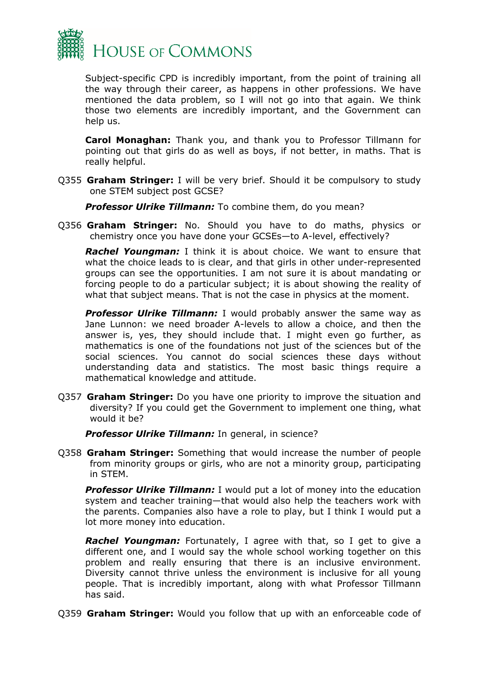

Subject-specific CPD is incredibly important, from the point of training all the way through their career, as happens in other professions. We have mentioned the data problem, so I will not go into that again. We think those two elements are incredibly important, and the Government can help us.

**Carol Monaghan:** Thank you, and thank you to Professor Tillmann for pointing out that girls do as well as boys, if not better, in maths. That is really helpful.

Q355 **Graham Stringer:** I will be very brief. Should it be compulsory to study one STEM subject post GCSE?

*Professor Ulrike Tillmann:* To combine them, do you mean?

Q356 **Graham Stringer:** No. Should you have to do maths, physics or chemistry once you have done your GCSEs—to A-level, effectively?

*Rachel Youngman:* I think it is about choice. We want to ensure that what the choice leads to is clear, and that girls in other under-represented groups can see the opportunities. I am not sure it is about mandating or forcing people to do a particular subject; it is about showing the reality of what that subject means. That is not the case in physics at the moment.

**Professor Ulrike Tillmann:** I would probably answer the same way as Jane Lunnon: we need broader A-levels to allow a choice, and then the answer is, yes, they should include that. I might even go further, as mathematics is one of the foundations not just of the sciences but of the social sciences. You cannot do social sciences these days without understanding data and statistics. The most basic things require a mathematical knowledge and attitude.

Q357 **Graham Stringer:** Do you have one priority to improve the situation and diversity? If you could get the Government to implement one thing, what would it be?

*Professor Ulrike Tillmann:* In general, in science?

Q358 **Graham Stringer:** Something that would increase the number of people from minority groups or girls, who are not a minority group, participating in STEM.

**Professor Ulrike Tillmann:** I would put a lot of money into the education system and teacher training—that would also help the teachers work with the parents. Companies also have a role to play, but I think I would put a lot more money into education.

*Rachel Youngman:* Fortunately, I agree with that, so I get to give a different one, and I would say the whole school working together on this problem and really ensuring that there is an inclusive environment. Diversity cannot thrive unless the environment is inclusive for all young people. That is incredibly important, along with what Professor Tillmann has said.

Q359 **Graham Stringer:** Would you follow that up with an enforceable code of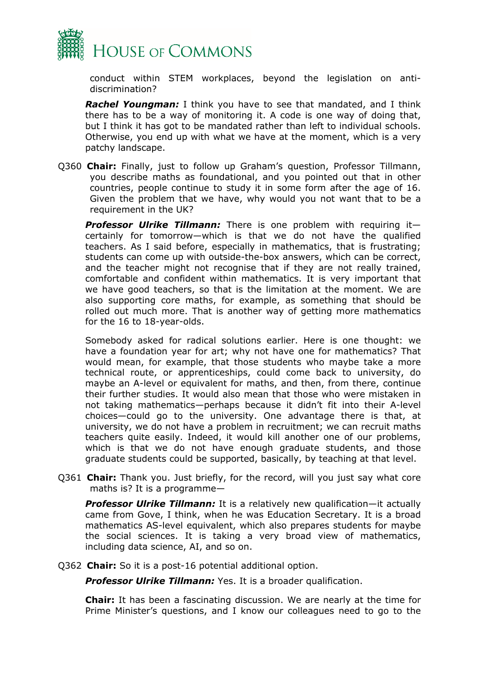

conduct within STEM workplaces, beyond the legislation on antidiscrimination?

*Rachel Youngman:* I think you have to see that mandated, and I think there has to be a way of monitoring it. A code is one way of doing that, but I think it has got to be mandated rather than left to individual schools. Otherwise, you end up with what we have at the moment, which is a very patchy landscape.

Q360 **Chair:** Finally, just to follow up Graham's question, Professor Tillmann, you describe maths as foundational, and you pointed out that in other countries, people continue to study it in some form after the age of 16. Given the problem that we have, why would you not want that to be a requirement in the UK?

*Professor Ulrike Tillmann:* There is one problem with requiring it certainly for tomorrow—which is that we do not have the qualified teachers. As I said before, especially in mathematics, that is frustrating; students can come up with outside-the-box answers, which can be correct, and the teacher might not recognise that if they are not really trained, comfortable and confident within mathematics. It is very important that we have good teachers, so that is the limitation at the moment. We are also supporting core maths, for example, as something that should be rolled out much more. That is another way of getting more mathematics for the 16 to 18-year-olds.

Somebody asked for radical solutions earlier. Here is one thought: we have a foundation year for art; why not have one for mathematics? That would mean, for example, that those students who maybe take a more technical route, or apprenticeships, could come back to university, do maybe an A-level or equivalent for maths, and then, from there, continue their further studies. It would also mean that those who were mistaken in not taking mathematics—perhaps because it didn't fit into their A-level choices—could go to the university. One advantage there is that, at university, we do not have a problem in recruitment; we can recruit maths teachers quite easily. Indeed, it would kill another one of our problems, which is that we do not have enough graduate students, and those graduate students could be supported, basically, by teaching at that level.

Q361 **Chair:** Thank you. Just briefly, for the record, will you just say what core maths is? It is a programme—

*Professor Ulrike Tillmann:* It is a relatively new qualification—it actually came from Gove, I think, when he was Education Secretary. It is a broad mathematics AS-level equivalent, which also prepares students for maybe the social sciences. It is taking a very broad view of mathematics, including data science, AI, and so on.

Q362 **Chair:** So it is a post-16 potential additional option.

*Professor Ulrike Tillmann:* Yes. It is a broader qualification.

**Chair:** It has been a fascinating discussion. We are nearly at the time for Prime Minister's questions, and I know our colleagues need to go to the